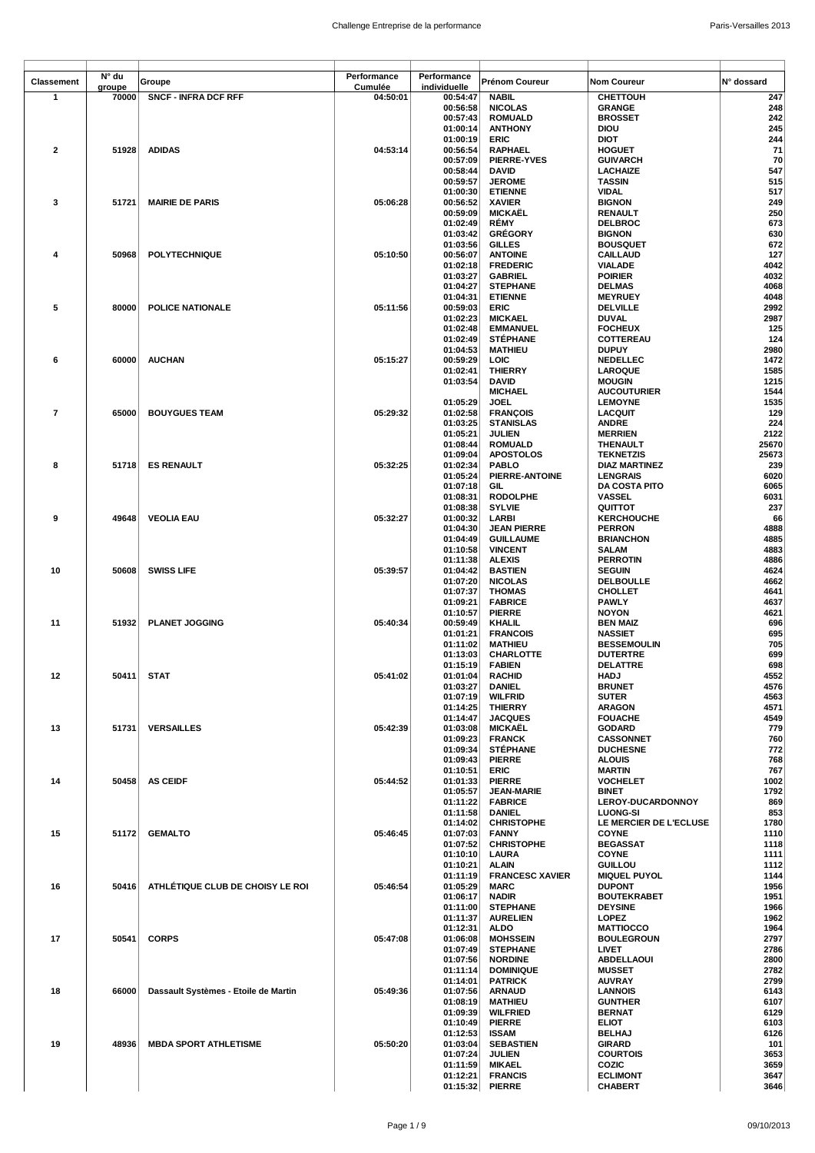| <b>Classement</b>       | N° du  | Groupe                               | Performance | Performance          | Prénom Coureur                        | <b>Nom Coureur</b>                   | N° dossard     |
|-------------------------|--------|--------------------------------------|-------------|----------------------|---------------------------------------|--------------------------------------|----------------|
|                         | groupe |                                      | Cumulée     | individuelle         |                                       |                                      |                |
| $\mathbf{1}$            | 70000  | <b>SNCF - INFRA DCF RFF</b>          | 04:50:01    | 00:54:47<br>00:56:58 | <b>NABIL</b><br><b>NICOLAS</b>        | <b>CHETTOUH</b><br><b>GRANGE</b>     | 247<br>248     |
|                         |        |                                      |             | 00:57:43             | <b>ROMUALD</b>                        | <b>BROSSET</b>                       | 242            |
|                         |        |                                      |             | 01:00:14             | <b>ANTHONY</b>                        | <b>DIOU</b>                          | 245            |
|                         |        |                                      |             | 01:00:19             | <b>ERIC</b>                           | <b>DIOT</b>                          | 244            |
| $\mathbf{2}$            | 51928  | <b>ADIDAS</b>                        | 04:53:14    | 00:56:54             | RAPHAEL                               | <b>HOGUET</b>                        | 71             |
|                         |        |                                      |             | 00:57:09<br>00:58:44 | <b>PIERRE-YVES</b><br>DAVID           | <b>GUIVARCH</b><br>LACHAIZE          | 70<br>547      |
|                         |        |                                      |             | 00:59:57             | <b>JEROME</b>                         | <b>TASSIN</b>                        | 515            |
|                         |        |                                      |             | 01:00:30             | <b>ETIENNE</b>                        | VIDAL                                | 517            |
| 3                       | 51721  | <b>MAIRIE DE PARIS</b>               | 05:06:28    | 00:56:52             | <b>XAVIER</b>                         | <b>BIGNON</b>                        | 249            |
|                         |        |                                      |             | 00:59:09<br>01:02:49 | MICKAËL<br>RÉMY                       | <b>RENAULT</b>                       | 250<br>673     |
|                         |        |                                      |             | 01:03:42             | <b>GRÉGORY</b>                        | <b>DELBROC</b><br><b>BIGNON</b>      | 630            |
|                         |        |                                      |             | 01:03:56             | <b>GILLES</b>                         | <b>BOUSQUET</b>                      | 672            |
| 4                       | 50968  | <b>POLYTECHNIQUE</b>                 | 05:10:50    | 00:56:07             | <b>ANTOINE</b>                        | <b>CAILLAUD</b>                      | 127            |
|                         |        |                                      |             | 01:02:18             | <b>FREDERIC</b>                       | <b>VIALADE</b>                       | 4042           |
|                         |        |                                      |             | 01:03:27<br>01:04:27 | <b>GABRIEL</b><br><b>STEPHANE</b>     | <b>POIRIER</b><br><b>DELMAS</b>      | 4032<br>4068   |
|                         |        |                                      |             | 01:04:31             | <b>ETIENNE</b>                        | <b>MEYRUEY</b>                       | 4048           |
| 5                       | 80000  | POLICE NATIONALE                     | 05:11:56    | 00:59:03             | <b>ERIC</b>                           | <b>DELVILLE</b>                      | 2992           |
|                         |        |                                      |             | 01:02:23             | <b>MICKAEL</b>                        | <b>DUVAL</b>                         | 2987           |
|                         |        |                                      |             | 01:02:48<br>01:02:49 | <b>EMMANUEL</b><br><b>STÉPHANE</b>    | <b>FOCHEUX</b><br>COTTEREAU          | 125<br>124     |
|                         |        |                                      |             | 01:04:53             | <b>MATHIEU</b>                        | <b>DUPUY</b>                         | 2980           |
| 6                       | 60000  | <b>AUCHAN</b>                        | 05:15:27    | 00:59:29             | LOIC                                  | <b>NEDELLEC</b>                      | 1472           |
|                         |        |                                      |             | 01:02:41             | <b>THIERRY</b>                        | <b>LAROQUE</b>                       | 1585           |
|                         |        |                                      |             | 01:03:54             | <b>DAVID</b><br><b>MICHAEL</b>        | <b>MOUGIN</b>                        | 1215           |
|                         |        |                                      |             | 01:05:29             | <b>JOEL</b>                           | <b>AUCOUTURIER</b><br><b>LEMOYNE</b> | 1544<br>1535   |
| $\overline{\mathbf{r}}$ | 65000  | <b>BOUYGUES TEAM</b>                 | 05:29:32    | 01:02:58             | <b>FRANÇOIS</b>                       | <b>LACQUIT</b>                       | 129            |
|                         |        |                                      |             | 01:03:25             | <b>STANISLAS</b>                      | <b>ANDRE</b>                         | 224            |
|                         |        |                                      |             | 01:05:21             | <b>JULIEN</b>                         | <b>MERRIEN</b>                       | 2122           |
|                         |        |                                      |             | 01:08:44<br>01:09:04 | <b>ROMUALD</b><br><b>APOSTOLOS</b>    | THENAULT<br><b>TEKNETZIS</b>         | 25670<br>25673 |
| 8                       | 51718  | <b>ES RENAULT</b>                    | 05:32:25    | 01:02:34             | <b>PABLO</b>                          | <b>DIAZ MARTINEZ</b>                 | 239            |
|                         |        |                                      |             | 01:05:24             | PIERRE-ANTOINE                        | <b>LENGRAIS</b>                      | 6020           |
|                         |        |                                      |             | 01:07:18             | GIL                                   | DA COSTA PITO                        | 6065           |
|                         |        |                                      |             | 01:08:31             | <b>RODOLPHE</b>                       | VASSEL                               | 6031           |
| 9                       | 49648  | <b>VEOLIA EAU</b>                    | 05:32:27    | 01:08:38<br>01:00:32 | <b>SYLVIE</b><br>LARBI                | QUITTOT<br><b>KERCHOUCHE</b>         | 237<br>66      |
|                         |        |                                      |             | 01:04:30             | <b>JEAN PIERRE</b>                    | <b>PERRON</b>                        | 4888           |
|                         |        |                                      |             | 01:04:49             | <b>GUILLAUME</b>                      | <b>BRIANCHON</b>                     | 4885           |
|                         |        |                                      |             | 01:10:58             | <b>VINCENT</b>                        | <b>SALAM</b>                         | 4883           |
| 10                      | 50608  | <b>SWISS LIFE</b>                    | 05:39:57    | 01:11:38<br>01:04:42 | <b>ALEXIS</b><br><b>BASTIEN</b>       | <b>PERROTIN</b><br><b>SEGUIN</b>     | 4886<br>4624   |
|                         |        |                                      |             | 01:07:20             | <b>NICOLAS</b>                        | <b>DELBOULLE</b>                     | 4662           |
|                         |        |                                      |             | 01:07:37             | <b>THOMAS</b>                         | <b>CHOLLET</b>                       | 4641           |
|                         |        |                                      |             | 01:09:21             | <b>FABRICE</b>                        | <b>PAWLY</b>                         | 4637           |
| 11                      | 51932  | <b>PLANET JOGGING</b>                | 05:40:34    | 01:10:57<br>00:59:49 | <b>PIERRE</b><br>KHALIL               | <b>NOYON</b><br><b>BEN MAIZ</b>      | 4621<br>696    |
|                         |        |                                      |             | 01:01:21             | <b>FRANCOIS</b>                       | <b>NASSIET</b>                       | 695            |
|                         |        |                                      |             | 01:11:02             | <b>MATHIEU</b>                        | <b>BESSEMOULIN</b>                   | 705            |
|                         |        |                                      |             | 01:13:03             | CHARLOTTE                             | <b>DUTERTRE</b>                      | 699            |
|                         |        |                                      |             | 01:15:19             | <b>FABIEN</b>                         | DELATTRE                             | 698            |
| 12                      | 50411  | <b>STAT</b>                          | 05:41:02    | 01:01:04<br>01:03:27 | <b>RACHID</b><br><b>DANIEL</b>        | <b>HADJ</b><br><b>BRUNET</b>         | 4552<br>4576   |
|                         |        |                                      |             | 01:07:19             | <b>WILFRID</b>                        | <b>SUTER</b>                         | 4563           |
|                         |        |                                      |             | 01:14:25             | <b>THIERRY</b>                        | <b>ARAGON</b>                        | 4571           |
|                         |        |                                      |             | 01:14:47             | <b>JACQUES</b>                        | <b>FOUACHE</b>                       | 4549           |
| 13                      | 51731  | <b>VERSAILLES</b>                    | 05:42:39    | 01:03:08<br>01:09:23 | <b>MICKAËL</b><br><b>FRANCK</b>       | GODARD<br><b>CASSONNET</b>           | 779<br>760     |
|                         |        |                                      |             | 01:09:34             | <b>STÉPHANE</b>                       | <b>DUCHESNE</b>                      | 772            |
|                         |        |                                      |             | 01:09:43             | <b>PIERRE</b>                         | <b>ALOUIS</b>                        | 768            |
|                         |        |                                      |             | 01:10:51             | <b>ERIC</b>                           | <b>MARTIN</b>                        | 767            |
| 14                      | 50458  | <b>AS CEIDF</b>                      | 05:44:52    | 01:01:33<br>01:05:57 | <b>PIERRE</b><br><b>JEAN-MARIE</b>    | VOCHELET<br><b>BINET</b>             | 1002<br>1792   |
|                         |        |                                      |             | 01:11:22             | <b>FABRICE</b>                        | LEROY-DUCARDONNOY                    | 869            |
|                         |        |                                      |             | 01:11:58             | <b>DANIEL</b>                         | <b>LUONG-SI</b>                      | 853            |
|                         |        |                                      |             | 01:14:02             | <b>CHRISTOPHE</b>                     | LE MERCIER DE L'ECLUSE               | 1780           |
| 15                      | 51172  | <b>GEMALTO</b>                       | 05:46:45    | 01:07:03<br>01:07:52 | <b>FANNY</b><br><b>CHRISTOPHE</b>     | <b>COYNE</b><br><b>BEGASSAT</b>      | 1110<br>1118   |
|                         |        |                                      |             | 01:10:10             | <b>LAURA</b>                          | <b>COYNE</b>                         | 1111           |
|                         |        |                                      |             | 01:10:21             | <b>ALAIN</b>                          | <b>GUILLOU</b>                       | 1112           |
| 16                      | 50416  | ATHLÉTIQUE CLUB DE CHOISY LE ROI     | 05:46:54    | 01:11:19<br>01:05:29 | <b>FRANCESC XAVIER</b><br><b>MARC</b> | <b>MIQUEL PUYOL</b><br><b>DUPONT</b> | 1144<br>1956   |
|                         |        |                                      |             | 01:06:17             | <b>NADIR</b>                          | <b>BOUTEKRABET</b>                   | 1951           |
|                         |        |                                      |             | 01:11:00             | <b>STEPHANE</b>                       | <b>DEYSINE</b>                       | 1966           |
|                         |        |                                      |             | 01:11:37             | <b>AURELIEN</b>                       | <b>LOPEZ</b>                         | 1962           |
| 17                      |        | <b>CORPS</b>                         | 05:47:08    | 01:12:31             | <b>ALDO</b>                           | <b>MATTIOCCO</b>                     | 1964<br>2797   |
|                         | 50541  |                                      |             | 01:06:08<br>01:07:49 | <b>MOHSSEIN</b><br><b>STEPHANE</b>    | <b>BOULEGROUN</b><br>LIVET           | 2786           |
|                         |        |                                      |             | 01:07:56             | <b>NORDINE</b>                        | ABDELLAOUI                           | 2800           |
|                         |        |                                      |             | 01:11:14             | <b>DOMINIQUE</b>                      | <b>MUSSET</b>                        | 2782           |
|                         |        |                                      |             | 01:14:01             | <b>PATRICK</b>                        | <b>AUVRAY</b>                        | 2799           |
| 18                      | 66000  | Dassault Systèmes - Etoile de Martin | 05:49:36    | 01:07:56<br>01:08:19 | <b>ARNAUD</b><br><b>MATHIEU</b>       | <b>LANNOIS</b><br><b>GUNTHER</b>     | 6143<br>6107   |
|                         |        |                                      |             | 01:09:39             | <b>WILFRIED</b>                       | <b>BERNAT</b>                        | 6129           |
|                         |        |                                      |             | 01:10:49             | <b>PIERRE</b>                         | <b>ELIOT</b>                         | 6103           |
|                         |        |                                      |             | 01:12:53             | <b>ISSAM</b>                          | <b>BELHAJ</b>                        | 6126           |
| 19                      | 48936  | <b>MBDA SPORT ATHLETISME</b>         | 05:50:20    | 01:03:04<br>01:07:24 | <b>SEBASTIEN</b><br><b>JULIEN</b>     | <b>GIRARD</b><br><b>COURTOIS</b>     | 101<br>3653    |
|                         |        |                                      |             | 01:11:59             | <b>MIKAEL</b>                         | COZIC                                | 3659           |
|                         |        |                                      |             | 01:12:21             | <b>FRANCIS</b>                        | <b>ECLIMONT</b>                      | 3647           |
|                         |        |                                      |             | 01:15:32             | <b>PIERRE</b>                         | CHABERT                              | 3646           |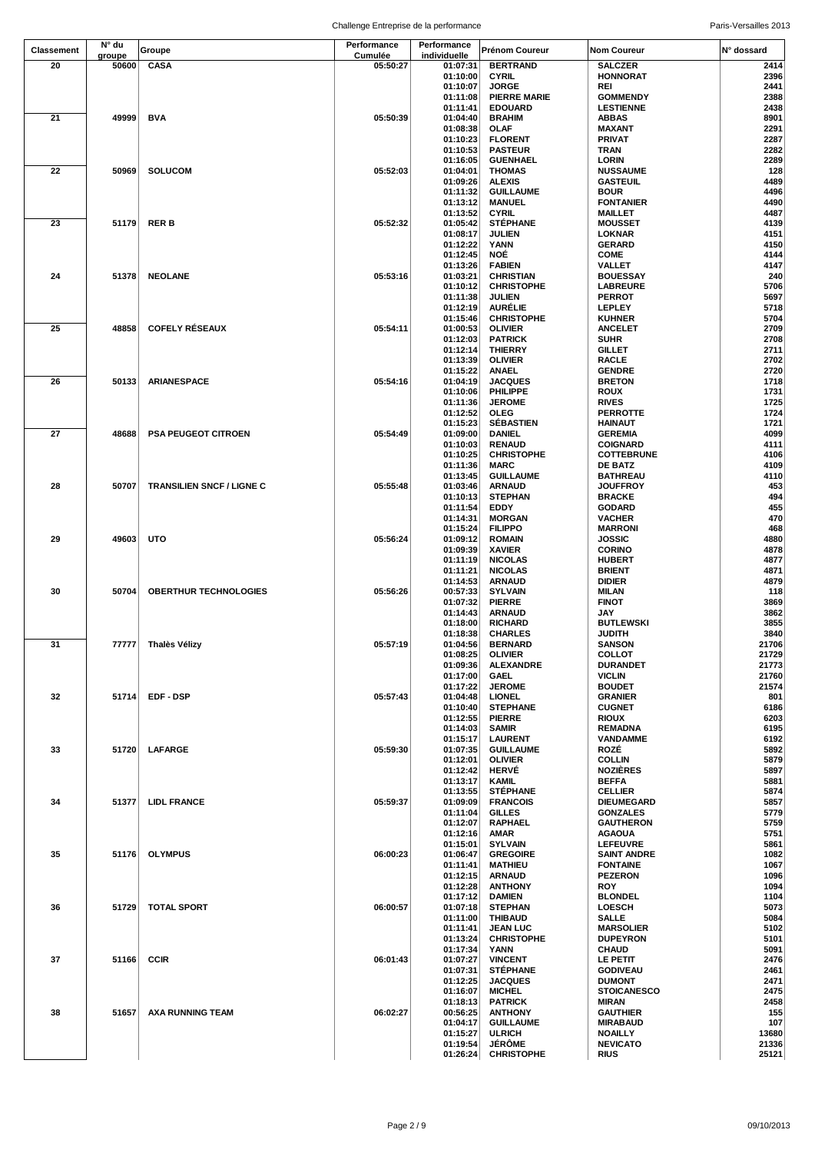| <b>Classement</b> | N° du           | Groupe                           | Performance         | Performance              | <b>Prénom Coureur</b>               | <b>Nom Coureur</b>                   | N° dossard    |
|-------------------|-----------------|----------------------------------|---------------------|--------------------------|-------------------------------------|--------------------------------------|---------------|
| 20                | groupe<br>50600 | CASA                             | Cumulée<br>05:50:27 | individuelle<br>01:07:31 | <b>BERTRAND</b>                     | <b>SALCZER</b>                       | 2414          |
|                   |                 |                                  |                     | 01:10:00                 | <b>CYRIL</b>                        | <b>HONNORAT</b>                      | 2396          |
|                   |                 |                                  |                     | 01:10:07                 | <b>JORGE</b>                        | REI                                  | 2441          |
|                   |                 |                                  |                     | 01:11:08                 | <b>PIERRE MARIE</b>                 | <b>GOMMENDY</b>                      | 2388          |
|                   |                 |                                  |                     | 01:11:41                 | <b>EDOUARD</b>                      | <b>LESTIENNE</b>                     | 2438          |
| 21                | 49999           | <b>BVA</b>                       | 05:50:39            | 01:04:40                 | <b>BRAHIM</b>                       | <b>ABBAS</b>                         | 8901          |
|                   |                 |                                  |                     | 01:08:38<br>01:10:23     | <b>OLAF</b><br><b>FLORENT</b>       | MAXANT<br><b>PRIVAT</b>              | 2291<br>2287  |
|                   |                 |                                  |                     | 01:10:53                 | <b>PASTEUR</b>                      | <b>TRAN</b>                          | 2282          |
|                   |                 |                                  |                     | 01:16:05                 | <b>GUENHAEL</b>                     | <b>LORIN</b>                         | 2289          |
| 22                | 50969           | <b>SOLUCOM</b>                   | 05:52:03            | 01:04:01                 | <b>THOMAS</b>                       | <b>NUSSAUME</b>                      | 128           |
|                   |                 |                                  |                     | 01:09:26                 | <b>ALEXIS</b>                       | <b>GASTEUIL</b>                      | 4489          |
|                   |                 |                                  |                     | 01:11:32<br>01:13:12     | <b>GUILLAUME</b><br><b>MANUEL</b>   | <b>BOUR</b><br><b>FONTANIER</b>      | 4496<br>4490  |
|                   |                 |                                  |                     | 01:13:52                 | <b>CYRIL</b>                        | <b>MAILLET</b>                       | 4487          |
| 23                | 51179           | RER B                            | 05:52:32            | 01:05:42                 | <b>STÉPHANE</b>                     | <b>MOUSSET</b>                       | 4139          |
|                   |                 |                                  |                     | 01:08:17                 | <b>JULIEN</b>                       | LOKNAR                               | 4151          |
|                   |                 |                                  |                     | 01:12:22                 | YANN                                | <b>GERARD</b>                        | 4150          |
|                   |                 |                                  |                     | 01:12:45<br>01:13:26     | NOË<br><b>FABIEN</b>                | <b>COME</b><br>VALLET                | 4144<br>4147  |
| 24                | 51378           | <b>NEOLANE</b>                   | 05:53:16            | 01:03:21                 | <b>CHRISTIAN</b>                    | <b>BOUESSAY</b>                      | 240           |
|                   |                 |                                  |                     | 01:10:12                 | <b>CHRISTOPHE</b>                   | <b>LABREURE</b>                      | 5706          |
|                   |                 |                                  |                     | 01:11:38                 | <b>JULIEN</b>                       | <b>PERROT</b>                        | 5697          |
|                   |                 |                                  |                     | 01:12:19                 | <b>AURÈLIE</b>                      | <b>LEPLEY</b><br><b>KUHNER</b>       | 5718<br>5704  |
| 25                | 48858           | <b>COFELY RÉSEAUX</b>            | 05:54:11            | 01:15:46<br>01:00:53     | <b>CHRISTOPHE</b><br><b>OLIVIER</b> | <b>ANCELET</b>                       | 2709          |
|                   |                 |                                  |                     | 01:12:03                 | <b>PATRICK</b>                      | <b>SUHR</b>                          | 2708          |
|                   |                 |                                  |                     | 01:12:14                 | <b>THIERRY</b>                      | <b>GILLET</b>                        | 2711          |
|                   |                 |                                  |                     | 01:13:39                 | <b>OLIVIER</b>                      | <b>RACLE</b>                         | 2702          |
|                   |                 |                                  |                     | 01:15:22                 | <b>ANAEL</b>                        | <b>GENDRE</b>                        | 2720          |
| 26                | 50133           | <b>ARIANESPACE</b>               | 05:54:16            | 01:04:19<br>01:10:06     | <b>JACQUES</b><br>PHILIPPE          | <b>BRETON</b><br><b>ROUX</b>         | 1718<br>1731  |
|                   |                 |                                  |                     | 01:11:36                 | <b>JEROME</b>                       | <b>RIVES</b>                         | 1725          |
|                   |                 |                                  |                     | 01:12:52                 | <b>OLEG</b>                         | <b>PERROTTE</b>                      | 1724          |
|                   |                 |                                  |                     | 01:15:23                 | <b>SÉBASTIEN</b>                    | <b>HAINAUT</b>                       | 1721          |
| 27                | 48688           | <b>PSA PEUGEOT CITROEN</b>       | 05:54:49            | 01:09:00                 | <b>DANIEL</b>                       | <b>GEREMIA</b>                       | 4099          |
|                   |                 |                                  |                     | 01:10:03<br>01:10:25     | <b>RENAUD</b><br><b>CHRISTOPHE</b>  | <b>COIGNARD</b><br><b>COTTEBRUNE</b> | 4111<br>4106  |
|                   |                 |                                  |                     | 01:11:36                 | <b>MARC</b>                         | <b>DE BATZ</b>                       | 4109          |
|                   |                 |                                  |                     | 01:13:45                 | <b>GUILLAUME</b>                    | <b>BATHREAU</b>                      | 4110          |
| 28                | 50707           | <b>TRANSILIEN SNCF / LIGNE C</b> | 05:55:48            | 01:03:46                 | <b>ARNAUD</b>                       | <b>JOUFFROY</b>                      | 453           |
|                   |                 |                                  |                     | 01:10:13                 | <b>STEPHAN</b>                      | <b>BRACKE</b>                        | 494           |
|                   |                 |                                  |                     | 01:11:54<br>01:14:31     | EDDY<br><b>MORGAN</b>               | <b>GODARD</b><br><b>VACHER</b>       | 455<br>470    |
|                   |                 |                                  |                     | 01:15:24                 | <b>FILIPPO</b>                      | <b>MARRONI</b>                       | 468           |
| 29                | 49603           | UTO                              | 05:56:24            | 01:09:12                 | <b>ROMAIN</b>                       | <b>JOSSIC</b>                        | 4880          |
|                   |                 |                                  |                     | 01:09:39                 | <b>XAVIER</b>                       | <b>CORINO</b>                        | 4878          |
|                   |                 |                                  |                     | 01:11:19                 | <b>NICOLAS</b>                      | <b>HUBERT</b>                        | 4877          |
|                   |                 |                                  |                     | 01:11:21<br>01:14:53     | <b>NICOLAS</b><br><b>ARNAUD</b>     | <b>BRIENT</b><br><b>DIDIER</b>       | 4871<br>4879  |
| 30                | 50704           | <b>OBERTHUR TECHNOLOGIES</b>     | 05:56:26            | 00:57:33                 | <b>SYLVAIN</b>                      | MILAN                                | 118           |
|                   |                 |                                  |                     | 01:07:32                 | <b>PIERRE</b>                       | <b>FINOT</b>                         | 3869          |
|                   |                 |                                  |                     | 01:14:43                 | <b>ARNAUD</b>                       | JAY                                  | 3862          |
|                   |                 |                                  |                     | 01:18:00                 | <b>RICHARD</b>                      | <b>BUTLEWSKI</b>                     | 3855          |
| 31                |                 | 77777   Thalès Vélizy            | 05:57:19            | 01:18:38<br>01:04:56     | <b>CHARLES</b><br><b>BERNARD</b>    | <b>JUDITH</b><br><b>SANSON</b>       | 3840<br>21706 |
|                   |                 |                                  |                     | 01:08:25                 | <b>OLIVIER</b>                      | <b>COLLOT</b>                        | 21729         |
|                   |                 |                                  |                     | 01:09:36                 | <b>ALEXANDRE</b>                    | <b>DURANDET</b>                      | 21773         |
|                   |                 |                                  |                     | 01:17:00                 | <b>GAEL</b>                         | <b>VICLIN</b>                        | 21760         |
| 32                | 51714           | <b>EDF-DSP</b>                   |                     | 01:17:22                 | <b>JEROME</b>                       | <b>BOUDET</b>                        | 21574         |
|                   |                 |                                  | 05:57:43            | 01:04:48<br>01:10:40     | <b>LIONEL</b><br><b>STEPHANE</b>    | <b>GRANIER</b><br><b>CUGNET</b>      | 801<br>6186   |
|                   |                 |                                  |                     | 01:12:55                 | <b>PIERRE</b>                       | <b>RIOUX</b>                         | 6203          |
|                   |                 |                                  |                     | 01:14:03                 | <b>SAMIR</b>                        | <b>REMADNA</b>                       | 6195          |
|                   |                 |                                  |                     | 01:15:17                 | <b>LAURENT</b>                      | <b>VANDAMME</b>                      | 6192          |
| 33                | 51720           | <b>LAFARGE</b>                   | 05:59:30            | 01:07:35<br>01:12:01     | <b>GUILLAUME</b><br><b>OLIVIER</b>  | ROZÉ<br><b>COLLIN</b>                | 5892<br>5879  |
|                   |                 |                                  |                     | 01:12:42                 | <b>HERVÉ</b>                        | <b>NOZIÈRES</b>                      | 5897          |
|                   |                 |                                  |                     | 01:13:17                 | <b>KAMIL</b>                        | <b>BEFFA</b>                         | 5881          |
|                   |                 |                                  |                     | 01:13:55                 | <b>STÉPHANE</b>                     | <b>CELLIER</b>                       | 5874          |
| 34                | 51377           | <b>LIDL FRANCE</b>               | 05:59:37            | 01:09:09                 | <b>FRANCOIS</b>                     | <b>DIEUMEGARD</b>                    | 5857          |
|                   |                 |                                  |                     | 01:11:04<br>01:12:07     | <b>GILLES</b><br><b>RAPHAEL</b>     | <b>GONZALES</b><br><b>GAUTHERON</b>  | 5779<br>5759  |
|                   |                 |                                  |                     | 01:12:16                 | <b>AMAR</b>                         | <b>AGAOUA</b>                        | 5751          |
|                   |                 |                                  |                     | 01:15:01                 | <b>SYLVAIN</b>                      | <b>LEFEUVRE</b>                      | 5861          |
| 35                | 51176           | <b>OLYMPUS</b>                   | 06:00:23            | 01:06:47                 | <b>GREGOIRE</b>                     | <b>SAINT ANDRE</b>                   | 1082          |
|                   |                 |                                  |                     | 01:11:41                 | <b>MATHIEU</b>                      | <b>FONTAINE</b>                      | 1067          |
|                   |                 |                                  |                     | 01:12:15<br>01:12:28     | <b>ARNAUD</b><br><b>ANTHONY</b>     | <b>PEZERON</b><br><b>ROY</b>         | 1096<br>1094  |
|                   |                 |                                  |                     | 01:17:12                 | <b>DAMIEN</b>                       | <b>BLONDEL</b>                       | 1104          |
| 36                | 51729           | <b>TOTAL SPORT</b>               | 06:00:57            | 01:07:18                 | <b>STEPHAN</b>                      | <b>LOESCH</b>                        | 5073          |
|                   |                 |                                  |                     | 01:11:00                 | <b>THIBAUD</b>                      | <b>SALLE</b>                         | 5084          |
|                   |                 |                                  |                     | 01:11:41<br>01:13:24     | <b>JEAN LUC</b>                     | <b>MARSOLIER</b>                     | 5102          |
|                   |                 |                                  |                     | 01:17:34                 | <b>CHRISTOPHE</b><br>YANN           | <b>DUPEYRON</b><br><b>CHAUD</b>      | 5101<br>5091  |
| 37                | 51166           | <b>CCIR</b>                      | 06:01:43            | 01:07:27                 | <b>VINCENT</b>                      | LE PETIT                             | 2476          |
|                   |                 |                                  |                     | 01:07:31                 | <b>STÉPHANE</b>                     | <b>GODIVEAU</b>                      | 2461          |
|                   |                 |                                  |                     | 01:12:25                 | <b>JACQUES</b>                      | <b>DUMONT</b>                        | 2471          |
|                   |                 |                                  |                     | 01:16:07                 | <b>MICHEL</b>                       | <b>STOICANESCO</b>                   | 2475          |
| 38                | 51657           | <b>AXA RUNNING TEAM</b>          | 06:02:27            | 01:18:13<br>00:56:25     | <b>PATRICK</b><br><b>ANTHONY</b>    | <b>MIRAN</b><br><b>GAUTHIER</b>      | 2458<br>155   |
|                   |                 |                                  |                     | 01:04:17                 | <b>GUILLAUME</b>                    | <b>MIRABAUD</b>                      | 107           |
|                   |                 |                                  |                     | 01:15:27                 | <b>ULRICH</b>                       | <b>NOAILLY</b>                       | 13680         |
|                   |                 |                                  |                     | 01:19:54                 | <b>JÉRÔME</b>                       | <b>NEVICATO</b>                      | 21336         |
|                   |                 |                                  |                     | 01:26:24                 | <b>CHRISTOPHE</b>                   | <b>RIUS</b>                          | 25121         |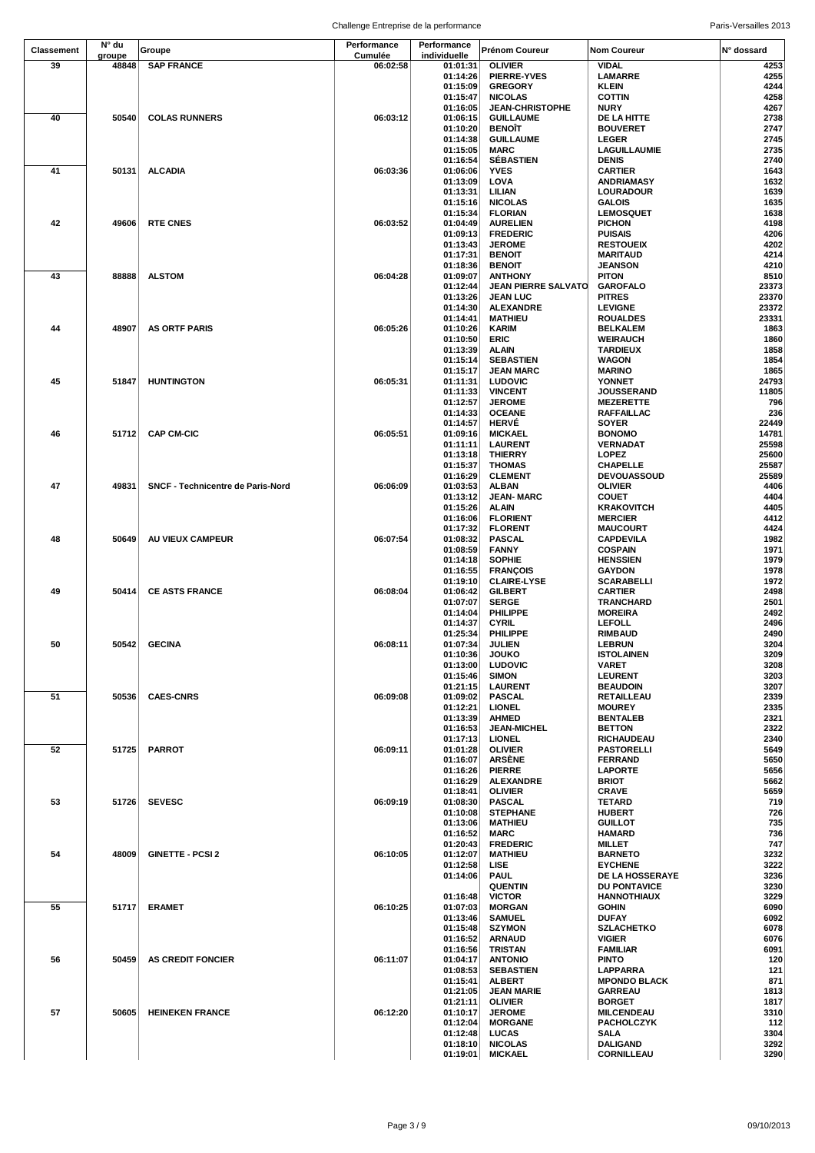| Classement | N° du           | Groupe                            | Performance         | Performance              | Prénom Coureur                               | <b>Nom Coureur</b>                     | N° dossard     |
|------------|-----------------|-----------------------------------|---------------------|--------------------------|----------------------------------------------|----------------------------------------|----------------|
| 39         | groupe<br>48848 | <b>SAP FRANCE</b>                 | Cumulée<br>06:02:58 | individuelle<br>01:01:31 | <b>OLIVIER</b>                               | VIDAL                                  | 4253           |
|            |                 |                                   |                     | 01:14:26                 | <b>PIERRE-YVES</b>                           | LAMARRE                                | 4255           |
|            |                 |                                   |                     | 01:15:09                 | <b>GREGORY</b>                               | <b>KLEIN</b>                           | 4244           |
|            |                 |                                   |                     | 01:15:47                 | <b>NICOLAS</b><br><b>JEAN-CHRISTOPHE</b>     | <b>COTTIN</b><br><b>NURY</b>           | 4258<br>4267   |
| 40         | 50540           | <b>COLAS RUNNERS</b>              | 06:03:12            | 01:16:05<br>01:06:15     | <b>GUILLAUME</b>                             | DE LA HITTE                            | 2738           |
|            |                 |                                   |                     | 01:10:20                 | <b>BENOÏT</b>                                | <b>BOUVERET</b>                        | 2747           |
|            |                 |                                   |                     | 01:14:38                 | <b>GUILLAUME</b>                             | <b>LEGER</b>                           | 2745           |
|            |                 |                                   |                     | 01:15:05                 | <b>MARC</b>                                  | LAGUILLAUMIE                           | 2735           |
| 41         | 50131           | <b>ALCADIA</b>                    | 06:03:36            | 01:16:54<br>01:06:06     | <b>SÉBASTIEN</b><br><b>YVES</b>              | <b>DENIS</b><br><b>CARTIER</b>         | 2740<br>1643   |
|            |                 |                                   |                     | 01:13:09                 | LOVA                                         | ANDRIAMASY                             | 1632           |
|            |                 |                                   |                     | 01:13:31                 | LILIAN                                       | LOURADOUR                              | 1639           |
|            |                 |                                   |                     | 01:15:16                 | <b>NICOLAS</b>                               | <b>GALOIS</b>                          | 1635           |
|            |                 |                                   |                     | 01:15:34                 | <b>FLORIAN</b>                               | <b>LEMOSQUET</b>                       | 1638           |
| 42         | 49606           | <b>RTE CNES</b>                   | 06:03:52            | 01:04:49<br>01:09:13     | <b>AURELIEN</b><br><b>FREDERIC</b>           | <b>PICHON</b><br><b>PUISAIS</b>        | 4198<br>4206   |
|            |                 |                                   |                     | 01:13:43                 | <b>JEROME</b>                                | <b>RESTOUEIX</b>                       | 4202           |
|            |                 |                                   |                     | 01:17:31                 | <b>BENOIT</b>                                | <b>MARITAUD</b>                        | 4214           |
|            |                 |                                   |                     | 01:18:36                 | <b>BENOIT</b>                                | <b>JEANSON</b>                         | 4210           |
| 43         | 88888           | <b>ALSTOM</b>                     | 06:04:28            | 01:09:07<br>01:12:44     | <b>ANTHONY</b><br><b>JEAN PIERRE SALVATO</b> | <b>PITON</b><br><b>GAROFALO</b>        | 8510<br>23373  |
|            |                 |                                   |                     | 01:13:26                 | <b>JEAN LUC</b>                              | <b>PITRES</b>                          | 23370          |
|            |                 |                                   |                     | 01:14:30                 | <b>ALEXANDRE</b>                             | <b>LEVIGNE</b>                         | 23372          |
|            |                 |                                   |                     | 01:14:41                 | <b>MATHIEU</b>                               | <b>ROUALDES</b>                        | 23331          |
| 44         | 48907           | <b>AS ORTF PARIS</b>              | 06:05:26            | 01:10:26                 | <b>KARIM</b>                                 | <b>BELKALEM</b>                        | 1863           |
|            |                 |                                   |                     | 01:10:50<br>01:13:39     | <b>ERIC</b><br><b>ALAIN</b>                  | <b>WEIRAUCH</b><br><b>TARDIEUX</b>     | 1860<br>1858   |
|            |                 |                                   |                     | 01:15:14                 | <b>SEBASTIEN</b>                             | <b>WAGON</b>                           | 1854           |
|            |                 |                                   |                     | 01:15:17                 | <b>JEAN MARC</b>                             | <b>MARINO</b>                          | 1865           |
| 45         | 51847           | <b>HUNTINGTON</b>                 | 06:05:31            | 01:11:31                 | <b>LUDOVIC</b>                               | <b>YONNET</b>                          | 24793          |
|            |                 |                                   |                     | 01:11:33<br>01:12:57     | <b>VINCENT</b><br><b>JEROME</b>              | <b>JOUSSERAND</b><br><b>MEZERETTE</b>  | 11805<br>796   |
|            |                 |                                   |                     | 01:14:33                 | <b>OCEANE</b>                                | RAFFAILLAC                             | 236            |
|            |                 |                                   |                     | 01:14:57                 | <b>HERVÉ</b>                                 | <b>SOYER</b>                           | 22449          |
| 46         | 51712           | <b>CAP CM-CIC</b>                 | 06:05:51            | 01:09:16                 | <b>MICKAEL</b>                               | <b>BONOMO</b>                          | 14781          |
|            |                 |                                   |                     | 01:11:11<br>01:13:18     | <b>LAURENT</b><br><b>THIERRY</b>             | <b>VERNADAT</b><br><b>LOPEZ</b>        | 25598<br>25600 |
|            |                 |                                   |                     | 01:15:37                 | <b>THOMAS</b>                                | <b>CHAPELLE</b>                        | 25587          |
|            |                 |                                   |                     | 01:16:29                 | <b>CLEMENT</b>                               | DEVOUASSOUD                            | 25589          |
| 47         | 49831           | SNCF - Technicentre de Paris-Nord | 06:06:09            | 01:03:53                 | <b>ALBAN</b>                                 | <b>OLIVIER</b>                         | 4406           |
|            |                 |                                   |                     | 01:13:12<br>01:15:26     | <b>JEAN-MARC</b><br><b>ALAIN</b>             | <b>COUET</b><br><b>KRAKOVITCH</b>      | 4404<br>4405   |
|            |                 |                                   |                     | 01:16:06                 | <b>FLORIENT</b>                              | <b>MERCIER</b>                         | 4412           |
|            |                 |                                   |                     | 01:17:32                 | <b>FLORENT</b>                               | <b>MAUCOURT</b>                        | 4424           |
| 48         | 50649           | AU VIEUX CAMPEUR                  | 06:07:54            | 01:08:32                 | <b>PASCAL</b>                                | <b>CAPDEVILA</b>                       | 1982           |
|            |                 |                                   |                     | 01:08:59                 | <b>FANNY</b><br><b>SOPHIE</b>                | <b>COSPAIN</b>                         | 1971           |
|            |                 |                                   |                     | 01:14:18<br>01:16:55     | <b>FRANÇOIS</b>                              | <b>HENSSIEN</b><br><b>GAYDON</b>       | 1979<br>1978   |
|            |                 |                                   |                     | 01:19:10                 | <b>CLAIRE-LYSE</b>                           | <b>SCARABELLI</b>                      | 1972           |
| 49         | 50414           | <b>CE ASTS FRANCE</b>             | 06:08:04            | 01:06:42                 | <b>GILBERT</b>                               | <b>CARTIER</b>                         | 2498           |
|            |                 |                                   |                     | 01:07:07                 | <b>SERGE</b><br><b>PHILIPPE</b>              | TRANCHARD<br><b>MOREIRA</b>            | 2501           |
|            |                 |                                   |                     | 01:14:04<br>01:14:37     | <b>CYRIL</b>                                 | <b>LEFOLL</b>                          | 2492<br>2496   |
|            |                 |                                   |                     | 01:25:34                 | PHILIPPE                                     | <b>RIMBAUD</b>                         | 2490           |
| 50         |                 | 50542 GECINA                      | 06:08:11            | 01:07:34                 | <b>JULIEN</b>                                | <b>LEBRUN</b>                          | 3204           |
|            |                 |                                   |                     | 01:10:36                 | <b>JOUKO</b><br><b>LUDOVIC</b>               | <b>ISTOLAINEN</b>                      | 3209           |
|            |                 |                                   |                     | 01:13:00<br>01:15:46     | <b>SIMON</b>                                 | VARET<br><b>LEURENT</b>                | 3208<br>3203   |
|            |                 |                                   |                     | 01:21:15                 | <b>LAURENT</b>                               | <b>BEAUDOIN</b>                        | 3207           |
| 51         | 50536           | <b>CAES-CNRS</b>                  | 06:09:08            | 01:09:02                 | <b>PASCAL</b>                                | RETAILLEAU                             | 2339           |
|            |                 |                                   |                     | 01:12:21                 | <b>LIONEL</b>                                | <b>MOUREY</b>                          | 2335<br>2321   |
|            |                 |                                   |                     | 01:13:39<br>01:16:53     | <b>AHMED</b><br><b>JEAN-MICHEL</b>           | <b>BENTALEB</b><br><b>BETTON</b>       | 2322           |
|            |                 |                                   |                     | 01:17:13                 | <b>LIONEL</b>                                | RICHAUDEAU                             | 2340           |
| 52         | 51725           | <b>PARROT</b>                     | 06:09:11            | 01:01:28                 | <b>OLIVIER</b>                               | <b>PASTORELLI</b>                      | 5649           |
|            |                 |                                   |                     | 01:16:07                 | <b>ARSÈNE</b>                                | <b>FERRAND</b>                         | 5650           |
|            |                 |                                   |                     | 01:16:26<br>01:16:29     | <b>PIERRE</b><br><b>ALEXANDRE</b>            | <b>LAPORTE</b><br><b>BRIOT</b>         | 5656<br>5662   |
|            |                 |                                   |                     | 01:18:41                 | <b>OLIVIER</b>                               | <b>CRAVE</b>                           | 5659           |
| 53         | 51726           | <b>SEVESC</b>                     | 06:09:19            | 01:08:30                 | <b>PASCAL</b>                                | <b>TETARD</b>                          | 719            |
|            |                 |                                   |                     | 01:10:08                 | <b>STEPHANE</b>                              | <b>HUBERT</b>                          | 726            |
|            |                 |                                   |                     | 01:13:06<br>01:16:52     | <b>MATHIEU</b><br><b>MARC</b>                | <b>GUILLOT</b><br><b>HAMARD</b>        | 735<br>736     |
|            |                 |                                   |                     | 01:20:43                 | <b>FREDERIC</b>                              | <b>MILLET</b>                          | 747            |
| 54         | 48009           | <b>GINETTE - PCSI 2</b>           | 06:10:05            | 01:12:07                 | <b>MATHIEU</b>                               | <b>BARNETO</b>                         | 3232           |
|            |                 |                                   |                     | 01:12:58                 | LISE                                         | <b>EYCHENE</b>                         | 3222<br>3236   |
|            |                 |                                   |                     | 01:14:06                 | <b>PAUL</b><br><b>QUENTIN</b>                | DE LA HOSSERAYE<br><b>DU PONTAVICE</b> | 3230           |
|            |                 |                                   |                     | 01:16:48                 | <b>VICTOR</b>                                | HANNOTHIAUX                            | 3229           |
| 55         | 51717           | <b>ERAMET</b>                     | 06:10:25            | 01:07:03                 | <b>MORGAN</b>                                | <b>GOHIN</b>                           | 6090           |
|            |                 |                                   |                     | 01:13:46                 | <b>SAMUEL</b>                                | <b>DUFAY</b>                           | 6092           |
|            |                 |                                   |                     | 01:15:48<br>01:16:52     | <b>SZYMON</b><br><b>ARNAUD</b>               | SZLACHETKO<br><b>VIGIER</b>            | 6078<br>6076   |
|            |                 |                                   |                     | 01:16:56                 | <b>TRISTAN</b>                               | <b>FAMILIAR</b>                        | 6091           |
| 56         | 50459           | <b>AS CREDIT FONCIER</b>          | 06:11:07            | 01:04:17                 | <b>ANTONIO</b>                               | <b>PINTO</b>                           | 120            |
|            |                 |                                   |                     | 01:08:53                 | <b>SEBASTIEN</b>                             | <b>LAPPARRA</b>                        | 121            |
|            |                 |                                   |                     | 01:15:41                 | <b>ALBERT</b>                                | <b>MPONDO BLACK</b><br><b>GARREAU</b>  | 871            |
|            |                 |                                   |                     | 01:21:05<br>01:21:11     | <b>JEAN MARIE</b><br><b>OLIVIER</b>          | <b>BORGET</b>                          | 1813<br>1817   |
| 57         | 50605           | <b>HEINEKEN FRANCE</b>            | 06:12:20            | 01:10:17                 | <b>JEROME</b>                                | <b>MILCENDEAU</b>                      | 3310           |
|            |                 |                                   |                     | 01:12:04                 | <b>MORGANE</b>                               | <b>PACHOLCZYK</b>                      | 112            |
|            |                 |                                   |                     | 01:12:48                 | <b>LUCAS</b>                                 | SALA                                   | 3304<br>3292   |
|            |                 |                                   |                     | 01:18:10<br>01:19:01     | <b>NICOLAS</b><br><b>MICKAEL</b>             | <b>DALIGAND</b><br><b>CORNILLEAU</b>   | 3290           |
|            |                 |                                   |                     |                          |                                              |                                        |                |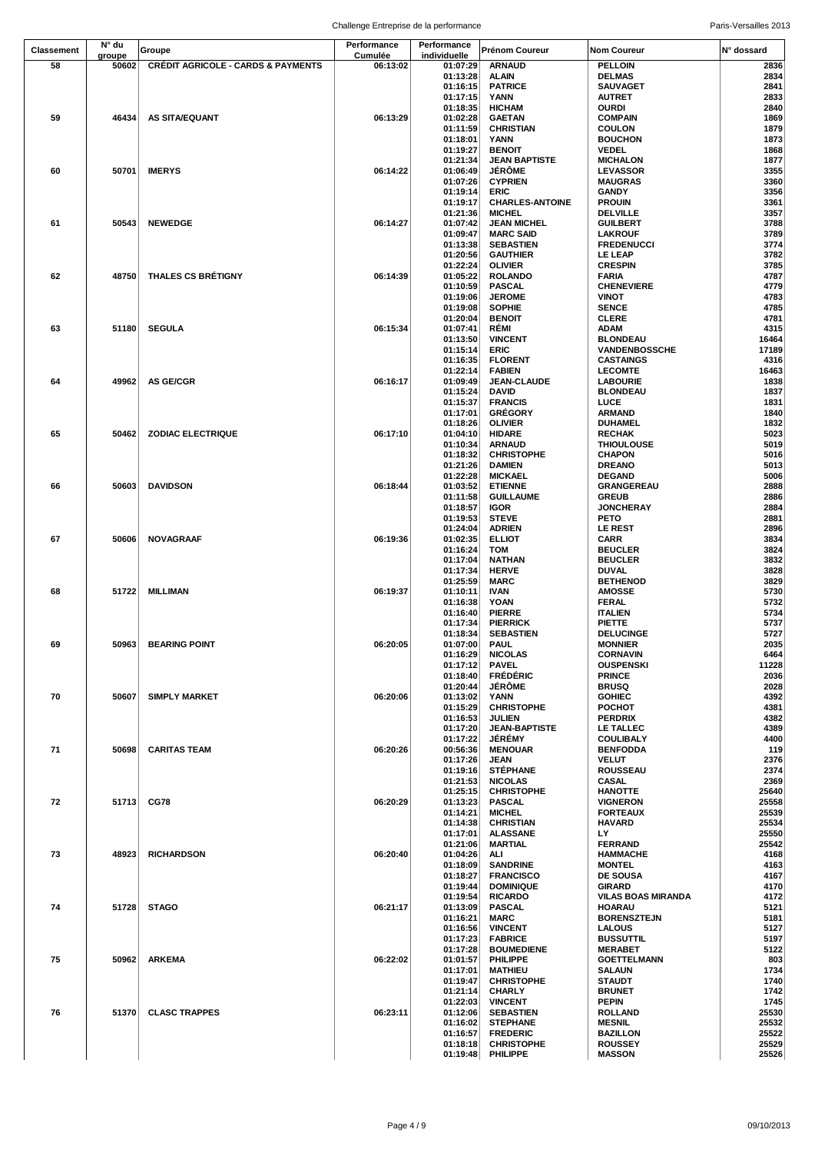|                   |                 |                                               | Challenge Entreprise de la performance |                          |                                       |                                     | Paris-Versailles 2013 |
|-------------------|-----------------|-----------------------------------------------|----------------------------------------|--------------------------|---------------------------------------|-------------------------------------|-----------------------|
| <b>Classement</b> | N° du           | Groupe                                        | Performance                            | Performance              | Prénom Coureur                        | <b>Nom Coureur</b>                  | N° dossard            |
| 58                | groupe<br>50602 | <b>CRÉDIT AGRICOLE - CARDS &amp; PAYMENTS</b> | Cumulée<br>06:13:02                    | individuelle<br>01:07:29 | <b>ARNAUD</b>                         | <b>PELLOIN</b>                      | 2836                  |
|                   |                 |                                               |                                        | 01:13:28                 | <b>ALAIN</b>                          | <b>DELMAS</b>                       | 2834                  |
|                   |                 |                                               |                                        | 01:16:15<br>01:17:15     | <b>PATRICE</b><br><b>YANN</b>         | <b>SAUVAGET</b><br><b>AUTRET</b>    | 2841<br>2833          |
|                   |                 |                                               |                                        | 01:18:35                 | <b>HICHAM</b>                         | OURDI                               | 2840                  |
| 59                | 46434           | AS SITA/EQUANT                                | 06:13:29                               | 01:02:28<br>01:11:59     | <b>GAETAN</b><br><b>CHRISTIAN</b>     | <b>COMPAIN</b><br><b>COULON</b>     | 1869<br>1879          |
|                   |                 |                                               |                                        | 01:18:01                 | <b>YANN</b>                           | <b>BOUCHON</b>                      | 1873                  |
|                   |                 |                                               |                                        | 01:19:27                 | <b>BENOIT</b>                         | <b>VEDEL</b>                        | 1868                  |
| 60                | 50701           | <b>IMERYS</b>                                 | 06:14:22                               | 01:21:34<br>01:06:49     | <b>JEAN BAPTISTE</b><br><b>JÊRÔME</b> | <b>MICHALON</b><br><b>LEVASSOR</b>  | 1877<br>3355          |
|                   |                 |                                               |                                        | 01:07:26                 | <b>CYPRIEN</b>                        | <b>MAUGRAS</b>                      | 3360                  |
|                   |                 |                                               |                                        | 01:19:14<br>01:19:17     | ERIC<br><b>CHARLES-ANTOINE</b>        | GANDY<br><b>PROUIN</b>              | 3356<br>3361          |
|                   |                 |                                               |                                        | 01:21:36                 | <b>MICHEL</b>                         | <b>DELVILLE</b>                     | 3357                  |
| 61                | 50543           | <b>NEWEDGE</b>                                | 06:14:27                               | 01:07:42                 | <b>JEAN MICHEL</b>                    | <b>GUILBERT</b>                     | 3788                  |
|                   |                 |                                               |                                        | 01:09:47<br>01:13:38     | <b>MARC SAID</b><br><b>SEBASTIEN</b>  | <b>LAKROUF</b><br><b>FREDENUCCI</b> | 3789<br>3774          |
|                   |                 |                                               |                                        | 01:20:56                 | <b>GAUTHIER</b>                       | LE LEAP                             | 3782                  |
| 62                | 48750           | <b>THALES CS BRÉTIGNY</b>                     | 06:14:39                               | 01:22:24<br>01:05:22     | <b>OLIVIER</b><br><b>ROLANDO</b>      | <b>CRESPIN</b><br>FARIA             | 3785<br>4787          |
|                   |                 |                                               |                                        | 01:10:59                 | <b>PASCAL</b>                         | <b>CHENEVIERE</b>                   | 4779                  |
|                   |                 |                                               |                                        | 01:19:06                 | <b>JEROME</b>                         | <b>VINOT</b>                        | 4783                  |
|                   |                 |                                               |                                        | 01:19:08<br>01:20:04     | <b>SOPHIE</b><br><b>BENOIT</b>        | <b>SENCE</b><br><b>CLERE</b>        | 4785<br>4781          |
| 63                | 51180           | <b>SEGULA</b>                                 | 06:15:34                               | 01:07:41                 | RÉMI                                  | <b>ADAM</b>                         | 4315                  |
|                   |                 |                                               |                                        | 01:13:50<br>01:15:14     | <b>VINCENT</b><br><b>ERIC</b>         | <b>BLONDEAU</b><br>VANDENBOSSCHE    | 16464<br>17189        |
|                   |                 |                                               |                                        | 01:16:35                 | <b>FLORENT</b>                        | <b>CASTAINGS</b>                    | 4316                  |
|                   | 49962           | AS GE/CGR                                     | 06:16:17                               | 01:22:14<br>01:09:49     | <b>FABIEN</b><br>JEAN-CLAUDE          | <b>LECOMTE</b><br><b>LABOURIE</b>   | 16463<br>1838         |
| 64                |                 |                                               |                                        | 01:15:24                 | <b>DAVID</b>                          | <b>BLONDEAU</b>                     | 1837                  |
|                   |                 |                                               |                                        | 01:15:37                 | <b>FRANCIS</b>                        | LUCE                                | 1831                  |
|                   |                 |                                               |                                        | 01:17:01<br>01:18:26     | <b>GRÉGORY</b><br><b>OLIVIER</b>      | ARMAND<br><b>DUHAMEL</b>            | 1840<br>1832          |
| 65                | 50462           | <b>ZODIAC ELECTRIQUE</b>                      | 06:17:10                               | 01:04:10                 | <b>HIDARE</b>                         | <b>RECHAK</b>                       | 5023                  |
|                   |                 |                                               |                                        | 01:10:34<br>01:18:32     | <b>ARNAUD</b><br><b>CHRISTOPHE</b>    | <b>THIOULOUSE</b><br><b>CHAPON</b>  | 5019<br>5016          |
|                   |                 |                                               |                                        | 01:21:26                 | <b>DAMIEN</b>                         | <b>DREANO</b>                       | 5013                  |
|                   |                 |                                               |                                        | 01:22:28                 | <b>MICKAEL</b>                        | <b>DEGAND</b>                       | 5006                  |
| 66                | 50603           | <b>DAVIDSON</b>                               | 06:18:44                               | 01:03:52<br>01:11:58     | <b>ETIENNE</b><br><b>GUILLAUME</b>    | <b>GRANGEREAU</b><br><b>GREUB</b>   | 2888<br>2886          |
|                   |                 |                                               |                                        | 01:18:57                 | <b>IGOR</b>                           | <b>JONCHERAY</b>                    | 2884                  |
|                   |                 |                                               |                                        | 01:19:53<br>01:24:04     | <b>STEVE</b><br><b>ADRIEN</b>         | PETO<br><b>LE REST</b>              | 2881<br>2896          |
| 67                | 50606           | <b>NOVAGRAAF</b>                              | 06:19:36                               | 01:02:35                 | <b>ELLIOT</b>                         | <b>CARR</b>                         | 3834                  |
|                   |                 |                                               |                                        | 01:16:24<br>01:17:04     | <b>TOM</b><br><b>NATHAN</b>           | <b>BEUCLER</b><br><b>BEUCLER</b>    | 3824<br>3832          |
|                   |                 |                                               |                                        | 01:17:34                 | <b>HERVE</b>                          | <b>DUVAL</b>                        | 3828                  |
|                   |                 |                                               |                                        | 01:25:59                 | <b>MARC</b>                           | <b>BETHENOD</b>                     | 3829                  |
| 68                | 51722           | <b>MILLIMAN</b>                               | 06:19:37                               | 01:10:11<br>01:16:38     | <b>IVAN</b><br><b>YOAN</b>            | <b>AMOSSE</b><br><b>FERAL</b>       | 5730<br>5732          |
|                   |                 |                                               |                                        | 01:16:40                 | <b>PIERRE</b>                         | <b>ITALIEN</b>                      | 5734                  |
|                   |                 |                                               |                                        | 01:17:34<br>01:18:34     | <b>PIERRICK</b><br><b>SEBASTIEN</b>   | <b>PIETTE</b><br><b>DELUCINGE</b>   | 5737<br>5727          |
| 69                | 50963           | <b>BEARING POINT</b>                          | 06:20:05                               | 01:07:00                 | <b>PAUL</b>                           | <b>MONNIER</b>                      | 2035                  |
|                   |                 |                                               |                                        | 01:16:29<br>01:17:12     | <b>NICOLAS</b><br><b>PAVEL</b>        | <b>CORNAVIN</b><br><b>OUSPENSKI</b> | 6464<br>11228         |
|                   |                 |                                               |                                        | 01:18:40                 | <b>FRÉDÉRIC</b>                       | <b>PRINCE</b>                       | 2036                  |
|                   |                 |                                               |                                        | 01:20:44                 | <b>JÉRÖME</b>                         | <b>BRUSQ</b>                        | 2028                  |
| 70                | 50607           | <b>SIMPLY MARKET</b>                          | 06:20:06                               | 01:13:02<br>01:15:29     | YANN<br><b>CHRISTOPHE</b>             | <b>GOHIEC</b><br><b>POCHOT</b>      | 4392<br>4381          |
|                   |                 |                                               |                                        | 01:16:53                 | <b>JULIEN</b>                         | <b>PERDRIX</b>                      | 4382                  |
|                   |                 |                                               |                                        | 01:17:20<br>01:17:22     | <b>JEAN-BAPTISTE</b><br><b>JÉRÉMY</b> | LE TALLEC<br><b>COULIBALY</b>       | 4389<br>4400          |
| 71                | 50698           | <b>CARITAS TEAM</b>                           | 06:20:26                               | 00:56:36                 | <b>MENOUAR</b>                        | <b>BENFODDA</b>                     | 119                   |
|                   |                 |                                               |                                        | 01:17:26<br>01:19:16     | <b>JEAN</b><br><b>STÉPHANE</b>        | <b>VELUT</b><br><b>ROUSSEAU</b>     | 2376<br>2374          |
|                   |                 |                                               |                                        | 01:21:53                 | <b>NICOLAS</b>                        | <b>CASAL</b>                        | 2369                  |
| 72                | 51713           | <b>CG78</b>                                   | 06:20:29                               | 01:25:15<br>01:13:23     | <b>CHRISTOPHE</b><br><b>PASCAL</b>    | <b>HANOTTE</b><br><b>VIGNERON</b>   | 25640<br>25558        |
|                   |                 |                                               |                                        | 01:14:21                 | <b>MICHEL</b>                         | <b>FORTEAUX</b>                     | 25539                 |
|                   |                 |                                               |                                        | 01:14:38                 | <b>CHRISTIAN</b>                      | HAVARD                              | 25534                 |
|                   |                 |                                               |                                        | 01:17:01<br>01:21:06     | <b>ALASSANE</b><br><b>MARTIAL</b>     | LY.<br><b>FERRAND</b>               | 25550<br>25542        |
| 73                | 48923           | <b>RICHARDSON</b>                             | 06:20:40                               | 01:04:26                 | ALI                                   | <b>HAMMACHE</b>                     | 4168                  |
|                   |                 |                                               |                                        | 01:18:09<br>01:18:27     | <b>SANDRINE</b><br><b>FRANCISCO</b>   | <b>MONTEL</b><br><b>DE SOUSA</b>    | 4163<br>4167          |
|                   |                 |                                               |                                        | 01:19:44                 | <b>DOMINIQUE</b>                      | <b>GIRARD</b>                       | 4170                  |
|                   |                 |                                               |                                        | 01:19:54                 | <b>RICARDO</b>                        | <b>VILAS BOAS MIRANDA</b>           | 4172                  |
| 74                | 51728           | <b>STAGO</b>                                  | 06:21:17                               | 01:13:09<br>01:16:21     | <b>PASCAL</b><br><b>MARC</b>          | <b>HOARAU</b><br><b>BORENSZTEJN</b> | 5121<br>5181          |
|                   |                 |                                               |                                        | 01:16:56                 | <b>VINCENT</b>                        | <b>LALOUS</b>                       | 5127                  |
|                   |                 |                                               |                                        | 01:17:23<br>01:17:28     | <b>FABRICE</b><br><b>BOUMEDIENE</b>   | <b>BUSSUTTIL</b><br><b>MERABET</b>  | 5197<br>5122          |
| 75                | 50962           | ARKEMA                                        | 06:22:02                               | 01:01:57                 | PHILIPPE                              | <b>GOETTELMANN</b>                  | 803                   |
|                   |                 |                                               |                                        | 01:17:01<br>01:19:47     | <b>MATHIEU</b>                        | <b>SALAUN</b><br><b>STAUDT</b>      | 1734<br>1740          |
|                   |                 |                                               |                                        | 01:21:14                 | <b>CHRISTOPHE</b><br><b>CHARLY</b>    | <b>BRUNET</b>                       | 1742                  |
|                   |                 |                                               |                                        | 01:22:03                 | <b>VINCENT</b>                        | <b>PEPIN</b>                        | 1745                  |
| 76                | 51370           | <b>CLASC TRAPPES</b>                          | 06:23:11                               | 01:12:06<br>01:16:02     | <b>SEBASTIEN</b><br><b>STEPHANE</b>   | <b>ROLLAND</b><br><b>MESNIL</b>     | 25530<br>25532        |
|                   |                 |                                               |                                        | 01:16:57                 | <b>FREDERIC</b>                       | <b>BAZILLON</b>                     | 25522                 |
|                   |                 |                                               |                                        | 01:18:18<br>01:19:48     | <b>CHRISTOPHE</b><br>PHILIPPE         | <b>ROUSSEY</b><br><b>MASSON</b>     | 25529<br>25526        |
|                   |                 |                                               |                                        |                          |                                       |                                     |                       |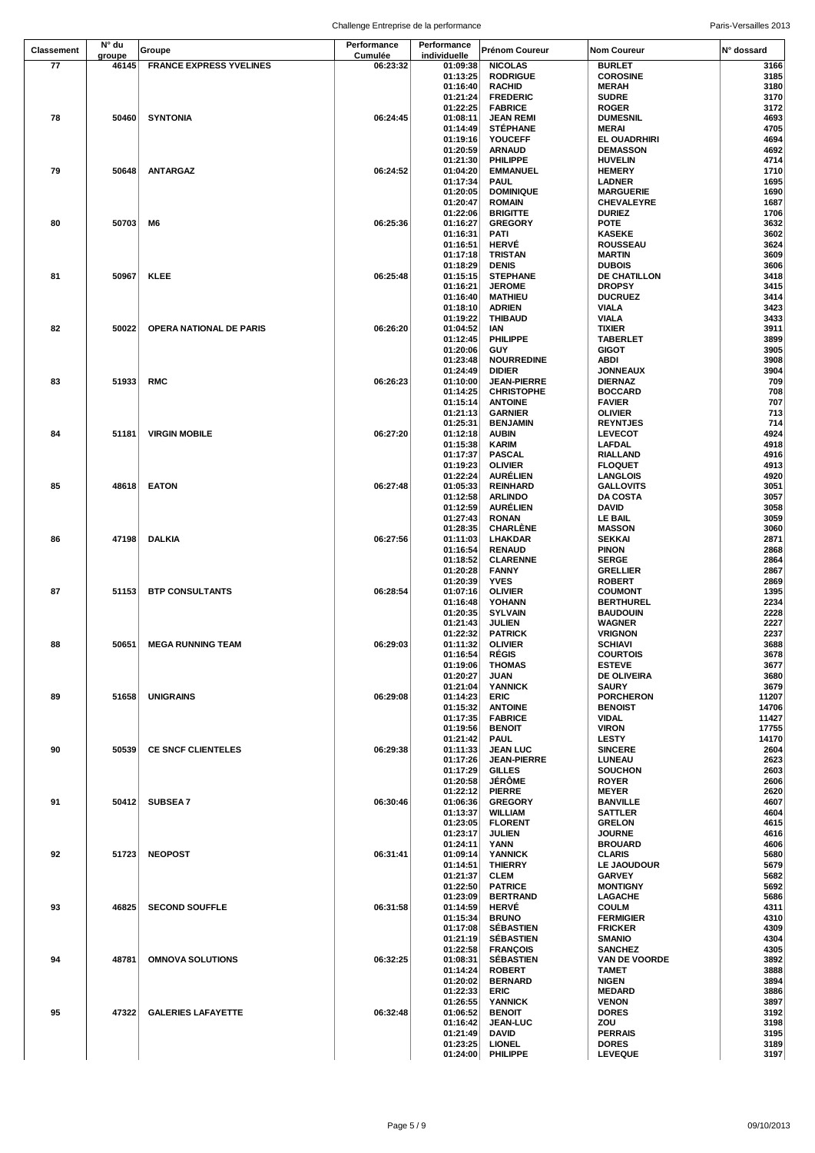Challenge Entreprise de la performance entreprise de la performance entre la paris-Versailles 2013

| <b>Classement</b> | N° du           | Groupe                         | Performance         | Performance<br>individuelle | Prénom Coureur                          | <b>Nom Coureur</b>                | N° dossard    |
|-------------------|-----------------|--------------------------------|---------------------|-----------------------------|-----------------------------------------|-----------------------------------|---------------|
| 77                | groupe<br>46145 | <b>FRANCE EXPRESS YVELINES</b> | Cumulée<br>06:23:32 | 01:09:38                    | <b>NICOLAS</b>                          | <b>BURLET</b>                     | 3166          |
|                   |                 |                                |                     | 01:13:25                    | <b>RODRIGUE</b>                         | <b>COROSINE</b>                   | 3185          |
|                   |                 |                                |                     | 01:16:40                    | <b>RACHID</b>                           | <b>MERAH</b>                      | 3180          |
|                   |                 |                                |                     | 01:21:24                    | <b>FREDERIC</b>                         | <b>SUDRE</b>                      | 3170          |
|                   |                 |                                |                     | 01:22:25                    | <b>FABRICE</b>                          | <b>ROGER</b>                      | 3172          |
| 78                | 50460           | <b>SYNTONIA</b>                | 06:24:45            | 01:08:11                    | <b>JEAN REMI</b>                        | <b>DUMESNIL</b>                   | 4693          |
|                   |                 |                                |                     | 01:14:49<br>01:19:16        | <b>STEPHANE</b>                         | <b>MERAI</b>                      | 4705<br>4694  |
|                   |                 |                                |                     | 01:20:59                    | YOUCEFF<br><b>ARNAUD</b>                | EL OUADRHIRI<br><b>DEMASSON</b>   | 4692          |
|                   |                 |                                |                     | 01:21:30                    | PHILIPPE                                | <b>HUVELIN</b>                    | 4714          |
| 79                | 50648           | <b>ANTARGAZ</b>                | 06:24:52            | 01:04:20                    | <b>EMMANUEL</b>                         | <b>HEMERY</b>                     | 1710          |
|                   |                 |                                |                     | 01:17:34                    | PAUL                                    | <b>LADNER</b>                     | 1695          |
|                   |                 |                                |                     | 01:20:05                    | <b>DOMINIQUE</b>                        | <b>MARGUERIE</b>                  | 1690          |
|                   |                 |                                |                     | 01:20:47                    | <b>ROMAIN</b>                           | <b>CHEVALEYRE</b>                 | 1687          |
|                   |                 |                                |                     | 01:22:06                    | <b>BRIGITTE</b>                         | <b>DURIEZ</b>                     | 1706          |
| 80                | 50703           | M6                             | 06:25:36            | 01:16:27<br>01:16:31        | <b>GREGORY</b><br>PATI                  | <b>POTE</b><br><b>KASEKE</b>      | 3632<br>3602  |
|                   |                 |                                |                     | 01:16:51                    | <b>HERVE</b>                            | <b>ROUSSEAU</b>                   | 3624          |
|                   |                 |                                |                     | 01:17:18                    | <b>TRISTAN</b>                          | <b>MARTIN</b>                     | 3609          |
|                   |                 |                                |                     | 01:18:29                    | <b>DENIS</b>                            | <b>DUBOIS</b>                     | 3606          |
| 81                | 50967           | KLEE                           | 06:25:48            | 01:15:15                    | <b>STEPHANE</b>                         | DE CHATILLON                      | 3418          |
|                   |                 |                                |                     | 01:16:21                    | <b>JEROME</b>                           | <b>DROPSY</b>                     | 3415          |
|                   |                 |                                |                     | 01:16:40<br>01:18:10        | <b>MATHIEU</b><br><b>ADRIEN</b>         | <b>DUCRUEZ</b><br><b>VIALA</b>    | 3414<br>3423  |
|                   |                 |                                |                     | 01:19:22                    | <b>THIBAUD</b>                          | <b>VIALA</b>                      | 3433          |
| 82                | 50022           | OPERA NATIONAL DE PARIS        | 06:26:20            | 01:04:52                    | IAN                                     | <b>TIXIER</b>                     | 3911          |
|                   |                 |                                |                     | 01:12:45                    | PHILIPPE                                | <b>TABERLET</b>                   | 3899          |
|                   |                 |                                |                     | 01:20:06                    | <b>GUY</b>                              | <b>GIGOT</b>                      | 3905          |
|                   |                 |                                |                     | 01:23:48                    | <b>NOURREDINE</b>                       | <b>ABDI</b>                       | 3908          |
|                   |                 |                                |                     | 01:24:49                    | <b>DIDIER</b>                           | <b>JONNEAUX</b>                   | 3904          |
| 83                | 51933           | <b>RMC</b>                     | 06:26:23            | 01:10:00<br>01:14:25        | <b>JEAN-PIERRE</b><br><b>CHRISTOPHE</b> | <b>DIERNAZ</b><br><b>BOCCARD</b>  | 709<br>708    |
|                   |                 |                                |                     | 01:15:14                    | <b>ANTOINE</b>                          | <b>FAVIER</b>                     | 707           |
|                   |                 |                                |                     | 01:21:13                    | <b>GARNIER</b>                          | <b>OLIVIER</b>                    | 713           |
|                   |                 |                                |                     | 01:25:31                    | <b>BENJAMIN</b>                         | <b>REYNTJES</b>                   | 714           |
| 84                | 51181           | <b>VIRGIN MOBILE</b>           | 06:27:20            | 01:12:18                    | <b>AUBIN</b>                            | <b>LEVECOT</b>                    | 4924          |
|                   |                 |                                |                     | 01:15:38                    | KARIM                                   | <b>LAFDAL</b>                     | 4918          |
|                   |                 |                                |                     | 01:17:37                    | <b>PASCAL</b>                           | <b>RIALLAND</b>                   | 4916          |
|                   |                 |                                |                     | 01:19:23<br>01:22:24        | <b>OLIVIER</b><br><b>AURÉLIEN</b>       | <b>FLOQUET</b><br><b>LANGLOIS</b> | 4913<br>4920  |
| 85                | 48618           | <b>EATON</b>                   | 06:27:48            | 01:05:33                    | <b>REINHARD</b>                         | <b>GALLOVITS</b>                  | 3051          |
|                   |                 |                                |                     | 01:12:58                    | <b>ARLINDO</b>                          | <b>DA COSTA</b>                   | 3057          |
|                   |                 |                                |                     | 01:12:59                    | <b>AURÉLIEN</b>                         | <b>DAVID</b>                      | 3058          |
|                   |                 |                                |                     | 01:27:43                    | <b>RONAN</b>                            | LE BAIL                           | 3059          |
|                   |                 |                                |                     | 01:28:35                    | <b>CHARLÉNE</b>                         | <b>MASSON</b>                     | 3060          |
| 86                | 47198           | <b>DALKIA</b>                  | 06:27:56            | 01:11:03<br>01:16:54        | LHAKDAR                                 | <b>SEKKAI</b><br><b>PINON</b>     | 2871<br>2868  |
|                   |                 |                                |                     | 01:18:52                    | <b>RENAUD</b><br><b>CLARENNE</b>        | <b>SERGE</b>                      | 2864          |
|                   |                 |                                |                     | 01:20:28                    | <b>FANNY</b>                            | <b>GRELLIER</b>                   | 2867          |
|                   |                 |                                |                     | 01:20:39                    | <b>YVES</b>                             | <b>ROBERT</b>                     | 2869          |
| 87                | 51153           | <b>BTP CONSULTANTS</b>         | 06:28:54            | 01:07:16                    | <b>OLIVIER</b>                          | <b>COUMONT</b>                    | 1395          |
|                   |                 |                                |                     | 01:16:48                    | YOHANN                                  | <b>BERTHUREL</b>                  | 2234          |
|                   |                 |                                |                     | 01:20:35<br>01:21:43        | <b>SYLVAIN</b><br><b>JULIEN</b>         | <b>BAUDOUIN</b><br><b>WAGNER</b>  | 2228<br>2227  |
|                   |                 |                                |                     | 01:22:32                    | <b>PATRICK</b>                          | <b>VRIGNON</b>                    | 2237          |
| 88                |                 | 50651 MEGA RUNNING TEAM        | 06:29:03            | 01:11:32                    | <b>OLIVIER</b>                          | <b>SCHIAVI</b>                    | 3688          |
|                   |                 |                                |                     | 01:16:54                    | <b>RÉGIS</b>                            | <b>COURTOIS</b>                   | 3678          |
|                   |                 |                                |                     | 01:19:06                    | THOMAS                                  | <b>ESTEVE</b>                     | 3677          |
|                   |                 |                                |                     | 01:20:27                    | <b>JUAN</b>                             | <b>DE OLIVEIRA</b>                | 3680          |
| 89                | 51658           | <b>UNIGRAINS</b>               | 06:29:08            | 01:21:04<br>01:14:23        | <b>YANNICK</b><br><b>ERIC</b>           | <b>SAURY</b><br><b>PORCHERON</b>  | 3679<br>11207 |
|                   |                 |                                |                     | 01:15:32                    | <b>ANTOINE</b>                          | <b>BENOIST</b>                    | 14706         |
|                   |                 |                                |                     | 01:17:35                    | <b>FABRICE</b>                          | <b>VIDAL</b>                      | 11427         |
|                   |                 |                                |                     | 01:19:56                    | <b>BENOIT</b>                           | <b>VIRON</b>                      | 17755         |
|                   |                 |                                |                     | 01:21:42                    | <b>PAUL</b>                             | <b>LESTY</b>                      | 14170         |
| 90                | 50539           | <b>CE SNCF CLIENTELES</b>      | 06:29:38            | 01:11:33                    | <b>JEAN LUC</b>                         | <b>SINCERE</b>                    | 2604          |
|                   |                 |                                |                     | 01:17:26                    | <b>JEAN-PIERRE</b>                      | <b>LUNEAU</b>                     | 2623          |
|                   |                 |                                |                     | 01:17:29<br>01:20:58        | <b>GILLES</b><br><b>JÉRÔME</b>          | <b>SOUCHON</b><br><b>ROYER</b>    | 2603<br>2606  |
|                   |                 |                                |                     | 01:22:12                    | <b>PIERRE</b>                           | <b>MEYER</b>                      | 2620          |
| 91                |                 | 50412 SUBSEA 7                 | 06:30:46            | 01:06:36                    | <b>GREGORY</b>                          | <b>BANVILLE</b>                   | 4607          |
|                   |                 |                                |                     | 01:13:37                    | <b>WILLIAM</b>                          | <b>SATTLER</b>                    | 4604          |
|                   |                 |                                |                     | 01:23:05                    | <b>FLORENT</b>                          | <b>GRELON</b>                     | 4615          |
|                   |                 |                                |                     | 01:23:17                    | <b>JULIEN</b>                           | <b>JOURNE</b>                     | 4616          |
| 92                | 51723           | <b>NEOPOST</b>                 |                     | 01:24:11                    | YANN                                    | <b>BROUARD</b><br><b>CLARIS</b>   | 4606          |
|                   |                 |                                | 06:31:41            | 01:09:14<br>01:14:51        | <b>YANNICK</b><br><b>THIERRY</b>        | LE JAOUDOUR                       | 5680<br>5679  |
|                   |                 |                                |                     | 01:21:37                    | <b>CLEM</b>                             | <b>GARVEY</b>                     | 5682          |
|                   |                 |                                |                     | 01:22:50                    | <b>PATRICE</b>                          | <b>MONTIGNY</b>                   | 5692          |
|                   |                 |                                |                     | 01:23:09                    | <b>BERTRAND</b>                         | LAGACHE                           | 5686          |
| 93                | 46825           | <b>SECOND SOUFFLE</b>          | 06:31:58            | 01:14:59                    | <b>HERVÉ</b>                            | <b>COULM</b>                      | 4311          |
|                   |                 |                                |                     | 01:15:34                    | <b>BRUNO</b>                            | <b>FERMIGIER</b>                  | 4310          |
|                   |                 |                                |                     | 01:17:08                    | <b>SEBASTIEN</b>                        | <b>FRICKER</b><br><b>SMANIO</b>   | 4309          |
|                   |                 |                                |                     | 01:21:19<br>01:22:58        | <b>SÉBASTIEN</b><br><b>FRANÇOIS</b>     | <b>SANCHEZ</b>                    | 4304<br>4305  |
| 94                | 48781           | <b>OMNOVA SOLUTIONS</b>        | 06:32:25            | 01:08:31                    | <b>SÉBASTIEN</b>                        | VAN DE VOORDE                     | 3892          |
|                   |                 |                                |                     | 01:14:24                    | <b>ROBERT</b>                           | <b>TAMET</b>                      | 3888          |
|                   |                 |                                |                     | 01:20:02                    | <b>BERNARD</b>                          | <b>NIGEN</b>                      | 3894          |
|                   |                 |                                |                     | 01:22:33                    | ERIC                                    | <b>MEDARD</b>                     | 3886          |
|                   |                 |                                |                     | 01:26:55                    | <b>YANNICK</b>                          | <b>VENON</b>                      | 3897          |
| 95                | 47322           | <b>GALERIES LAFAYETTE</b>      | 06:32:48            | 01:06:52<br>01:16:42        | <b>BENOIT</b><br><b>JEAN-LUC</b>        | <b>DORES</b><br>ZOU               | 3192<br>3198  |
|                   |                 |                                |                     | 01:21:49                    | DAVID                                   | <b>PERRAIS</b>                    | 3195          |
|                   |                 |                                |                     | 01:23:25                    | <b>LIONEL</b>                           | <b>DORES</b>                      | 3189          |
|                   |                 |                                |                     | 01:24:00                    | PHILIPPE                                | <b>LEVEQUE</b>                    | 3197          |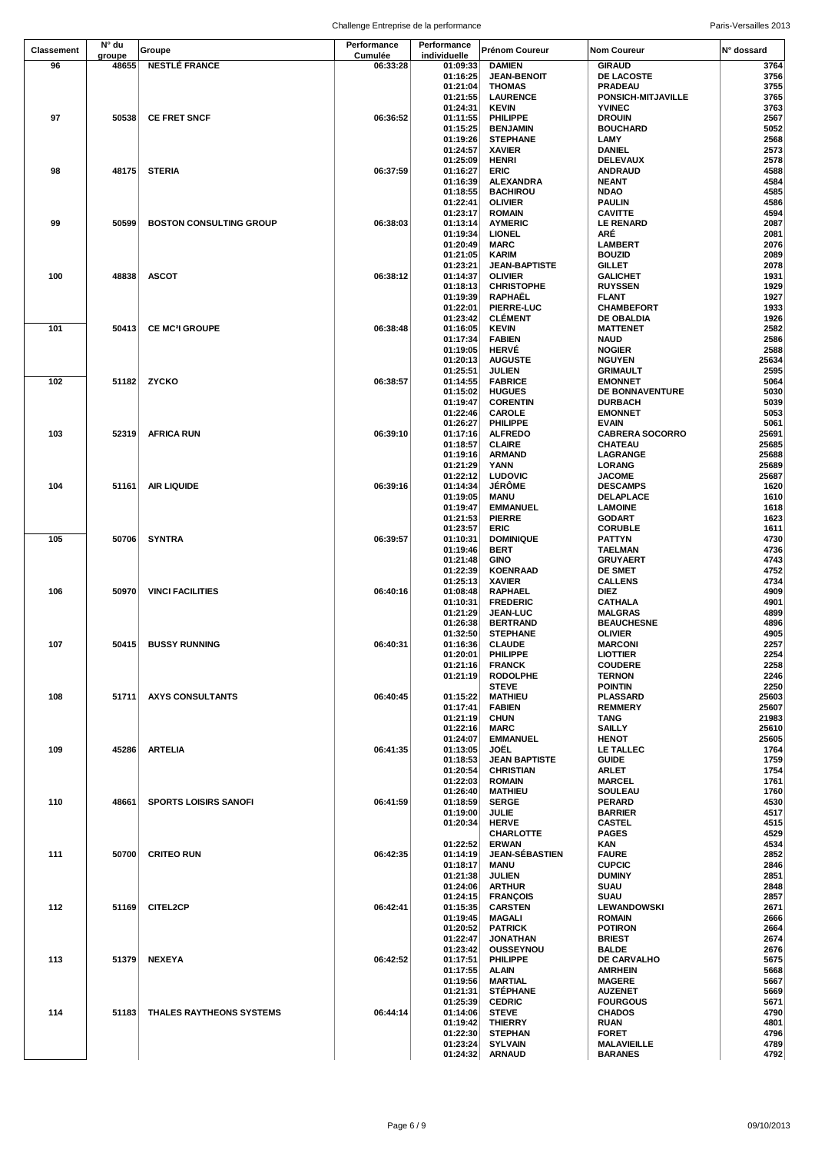|                   | N° du  |                                  | Performance | Performance          |                                  |                                   |                |
|-------------------|--------|----------------------------------|-------------|----------------------|----------------------------------|-----------------------------------|----------------|
| <b>Classement</b> | groupe | Groupe                           | Cumulée     | individuelle         | Prénom Coureur                   | <b>Nom Coureur</b>                | N° dossard     |
| 96                | 48655  | <b>NESTLÉ FRANCE</b>             | 06:33:28    | 01:09:33             | <b>DAMIEN</b>                    | <b>GIRAUD</b>                     | 3764           |
|                   |        |                                  |             | 01:16:25             | <b>JEAN-BENOIT</b>               | DE LACOSTE                        | 3756           |
|                   |        |                                  |             | 01:21:04<br>01:21:55 | <b>THOMAS</b><br><b>LAURENCE</b> | PRADEAU<br>PONSICH-MITJAVILLE     | 3755<br>3765   |
|                   |        |                                  |             | 01:24:31             | <b>KEVIN</b>                     | <b>YVINEC</b>                     | 3763           |
| 97                | 50538  | <b>CE FRET SNCF</b>              | 06:36:52    | 01:11:55             | PHILIPPE                         | <b>DROUIN</b>                     | 2567           |
|                   |        |                                  |             | 01:15:25             | <b>BENJAMIN</b>                  | <b>BOUCHARD</b>                   | 5052           |
|                   |        |                                  |             | 01:19:26             | <b>STEPHANE</b>                  | LAMY                              | 2568           |
|                   |        |                                  |             | 01:24:57             | <b>XAVIER</b>                    | <b>DANIEL</b>                     | 2573           |
| 98                | 48175  | <b>STERIA</b>                    | 06:37:59    | 01:25:09<br>01:16:27 | HENRI<br><b>ERIC</b>             | DELEVAUX<br><b>ANDRAUD</b>        | 2578<br>4588   |
|                   |        |                                  |             | 01:16:39             | ALEXANDRA                        | <b>NEANT</b>                      | 4584           |
|                   |        |                                  |             | 01:18:55             | <b>BACHIROU</b>                  | <b>NDAO</b>                       | 4585           |
|                   |        |                                  |             | 01:22:41             | <b>OLIVIER</b>                   | <b>PAULIN</b>                     | 4586           |
|                   |        |                                  |             | 01:23:17             | <b>ROMAIN</b>                    | <b>CAVITTE</b>                    | 4594           |
| 99                | 50599  | <b>BOSTON CONSULTING GROUP</b>   | 06:38:03    | 01:13:14             | <b>AYMERIC</b>                   | <b>LE RENARD</b>                  | 2087           |
|                   |        |                                  |             | 01:19:34             | <b>LIONEL</b>                    | ARÉ                               | 2081           |
|                   |        |                                  |             | 01:20:49<br>01:21:05 | <b>MARC</b><br><b>KARIM</b>      | <b>LAMBERT</b><br><b>BOUZID</b>   | 2076<br>2089   |
|                   |        |                                  |             | 01:23:21             | <b>JEAN-BAPTISTE</b>             | <b>GILLET</b>                     | 2078           |
| 100               | 48838  | <b>ASCOT</b>                     | 06:38:12    | 01:14:37             | <b>OLIVIER</b>                   | <b>GALICHET</b>                   | 1931           |
|                   |        |                                  |             | 01:18:13             | <b>CHRISTOPHE</b>                | <b>RUYSSEN</b>                    | 1929           |
|                   |        |                                  |             | 01:19:39             | RAPHAËL                          | <b>FLANT</b>                      | 1927           |
|                   |        |                                  |             | 01:22:01             | PIERRE-LUC                       | <b>CHAMBEFORT</b>                 | 1933           |
|                   |        |                                  |             | 01:23:42             | <b>CLÉMENT</b>                   | DE OBALDIA                        | 1926           |
| 101               | 50413  | <b>CE MC<sup>2</sup>I GROUPE</b> | 06:38:48    | 01:16:05             | <b>KEVIN</b>                     | <b>MATTENET</b>                   | 2582           |
|                   |        |                                  |             | 01:17:34<br>01:19:05 | <b>FABIEN</b><br><b>HERVÉ</b>    | <b>NAUD</b><br><b>NOGIER</b>      | 2586<br>2588   |
|                   |        |                                  |             | 01:20:13             | <b>AUGUSTE</b>                   | <b>NGUYEN</b>                     | 25634          |
|                   |        |                                  |             | 01:25:51             | JULIEN                           | <b>GRIMAULT</b>                   | 2595           |
| 102               | 51182  | <b>ZYCKO</b>                     | 06:38:57    | 01:14:55             | <b>FABRICE</b>                   | <b>EMONNET</b>                    | 5064           |
|                   |        |                                  |             | 01:15:02             | <b>HUGUES</b>                    | DE BONNAVENTURE                   | 5030           |
|                   |        |                                  |             | 01:19:47             | <b>CORENTIN</b>                  | <b>DURBACH</b>                    | 5039           |
|                   |        |                                  |             | 01:22:46             | <b>CAROLE</b>                    | <b>EMONNET</b>                    | 5053           |
|                   |        |                                  |             | 01:26:27             | PHILIPPE                         | <b>EVAIN</b>                      | 5061           |
| 103               | 52319  | <b>AFRICA RUN</b>                | 06:39:10    | 01:17:16<br>01:18:57 | <b>ALFREDO</b><br><b>CLAIRE</b>  | <b>CABRERA SOCORRO</b><br>CHATEAU | 25691<br>25685 |
|                   |        |                                  |             | 01:19:16             | <b>ARMAND</b>                    | LAGRANGE                          | 25688          |
|                   |        |                                  |             | 01:21:29             | YANN                             | <b>LORANG</b>                     | 25689          |
|                   |        |                                  |             | 01:22:12             | <b>LUDOVIC</b>                   | <b>JACOME</b>                     | 25687          |
| 104               | 51161  | <b>AIR LIQUIDE</b>               | 06:39:16    | 01:14:34             | <b>JÉRÖME</b>                    | <b>DESCAMPS</b>                   | 1620           |
|                   |        |                                  |             | 01:19:05             | <b>MANU</b>                      | DELAPLACE                         | 1610           |
|                   |        |                                  |             | 01:19:47             | <b>EMMANUEL</b>                  | <b>LAMOINE</b>                    | 1618           |
|                   |        |                                  |             | 01:21:53             | <b>PIERRE</b>                    | <b>GODART</b>                     | 1623           |
|                   |        |                                  |             | 01:23:57             | ERIC                             | <b>CORUBLE</b>                    | 1611           |
| 105               | 50706  | <b>SYNTRA</b>                    | 06:39:57    | 01:10:31<br>01:19:46 | <b>DOMINIQUE</b><br>BERT         | <b>PATTYN</b><br>TAELMAN          | 4730<br>4736   |
|                   |        |                                  |             | 01:21:48             | GINO                             | <b>GRUYAERT</b>                   | 4743           |
|                   |        |                                  |             | 01:22:39             | <b>KOENRAAD</b>                  | <b>DE SMET</b>                    | 4752           |
|                   |        |                                  |             | 01:25:13             | <b>XAVIER</b>                    | <b>CALLENS</b>                    | 4734           |
| 106               | 50970  | <b>VINCI FACILITIES</b>          | 06:40:16    | 01:08:48             | <b>RAPHAEL</b>                   | <b>DIEZ</b>                       | 4909           |
|                   |        |                                  |             | 01:10:31             | <b>FREDERIC</b>                  | <b>CATHALA</b>                    | 4901           |
|                   |        |                                  |             | 01:21:29             | <b>JEAN-LUC</b>                  | <b>MALGRAS</b>                    | 4899           |
|                   |        |                                  |             | 01:26:38             | <b>BERTRAND</b>                  | <b>BEAUCHESNE</b>                 | 4896           |
|                   |        |                                  |             | 01:32:50             | <b>STEPHANE</b><br><b>CLAUDE</b> | <b>OLIVIER</b>                    | 4905<br>2257   |
| 107               |        | 50415 BUSSY RUNNING              | 06:40:31    | 01:16:36<br>01:20:01 | PHILIPPE                         | <b>MARCONI</b><br><b>LIOTTIER</b> | 2254           |
|                   |        |                                  |             | 01:21:16             | <b>FRANCK</b>                    | <b>COUDERE</b>                    | 2258           |
|                   |        |                                  |             | 01:21:19             | <b>RODOLPHE</b>                  | <b>TERNON</b>                     | 2246           |
|                   |        |                                  |             |                      | <b>STEVE</b>                     | <b>POINTIN</b>                    | 2250           |
| 108               | 51711  | <b>AXYS CONSULTANTS</b>          | 06:40:45    | 01:15:22             | <b>MATHIEU</b>                   | <b>PLASSARD</b>                   | 25603          |
|                   |        |                                  |             | 01:17:41             | <b>FABIEN</b>                    | <b>REMMERY</b>                    | 25607          |
|                   |        |                                  |             | 01:21:19             | <b>CHUN</b>                      | TANG                              | 21983<br>25610 |
|                   |        |                                  |             | 01:22:16<br>01:24:07 | MARC<br><b>EMMANUEL</b>          | <b>SAILLY</b><br><b>HENOT</b>     | 25605          |
| 109               | 45286  | <b>ARTELIA</b>                   | 06:41:35    | 01:13:05             | JOËL                             | LE TALLEC                         | 1764           |
|                   |        |                                  |             | 01:18:53             | <b>JEAN BAPTISTE</b>             | <b>GUIDE</b>                      | 1759           |
|                   |        |                                  |             | 01:20:54             | <b>CHRISTIAN</b>                 | <b>ARLET</b>                      | 1754           |
|                   |        |                                  |             | 01:22:03             | <b>ROMAIN</b>                    | <b>MARCEL</b>                     | 1761           |
|                   |        |                                  |             | 01:26:40             | <b>MATHIEU</b>                   | <b>SOULEAU</b>                    | 1760           |
| 110               | 48661  | <b>SPORTS LOISIRS SANOFI</b>     | 06:41:59    | 01:18:59             | <b>SERGE</b>                     | <b>PERARD</b>                     | 4530           |
|                   |        |                                  |             | 01:19:00<br>01:20:34 | JULIE<br><b>HERVE</b>            | <b>BARRIER</b><br><b>CASTEL</b>   | 4517<br>4515   |
|                   |        |                                  |             |                      | CHARLOTTE                        | <b>PAGES</b>                      | 4529           |
|                   |        |                                  |             | 01:22:52             | <b>ERWAN</b>                     | KAN                               | 4534           |
| 111               | 50700  | <b>CRITEO RUN</b>                | 06:42:35    | 01:14:19             | <b>JEAN-SÉBASTIEN</b>            | <b>FAURE</b>                      | 2852           |
|                   |        |                                  |             | 01:18:17             | MANU                             | <b>CUPCIC</b>                     | 2846           |
|                   |        |                                  |             | 01:21:38             | <b>JULIEN</b>                    | <b>DUMINY</b>                     | 2851           |
|                   |        |                                  |             | 01:24:06             | <b>ARTHUR</b>                    | <b>SUAU</b>                       | 2848           |
| 112               | 51169  | <b>CITEL2CP</b>                  | 06:42:41    | 01:24:15             | <b>FRANÇOIS</b>                  | <b>SUAU</b><br><b>LEWANDOWSKI</b> | 2857<br>2671   |
|                   |        |                                  |             | 01:15:35<br>01:19:45 | <b>CARSTEN</b><br>MAGALI         | <b>ROMAIN</b>                     | 2666           |
|                   |        |                                  |             | 01:20:52             | <b>PATRICK</b>                   | <b>POTIRON</b>                    | 2664           |
|                   |        |                                  |             | 01:22:47             | JONATHAN                         | <b>BRIEST</b>                     | 2674           |
|                   |        |                                  |             | 01:23:42             | <b>OUSSEYNOU</b>                 | <b>BALDE</b>                      | 2676           |
| 113               | 51379  | <b>NEXEYA</b>                    | 06:42:52    | 01:17:51             | PHILIPPE                         | DE CARVALHO                       | 5675           |
|                   |        |                                  |             | 01:17:55             | <b>ALAIN</b>                     | <b>AMRHEIN</b>                    | 5668           |
|                   |        |                                  |             | 01:19:56             | <b>MARTIAL</b>                   | <b>MAGERE</b>                     | 5667           |
|                   |        |                                  |             | 01:21:31<br>01:25:39 | <b>STEPHANE</b><br><b>CEDRIC</b> | <b>AUZENET</b><br><b>FOURGOUS</b> | 5669<br>5671   |
| 114               | 51183  | THALES RAYTHEONS SYSTEMS         | 06:44:14    | 01:14:06             | <b>STEVE</b>                     | <b>CHADOS</b>                     | 4790           |
|                   |        |                                  |             | 01:19:42             | <b>THIERRY</b>                   | RUAN                              | 4801           |
|                   |        |                                  |             | 01:22:30             | <b>STEPHAN</b>                   | <b>FORET</b>                      | 4796           |
|                   |        |                                  |             | 01:23:24             | <b>SYLVAIN</b>                   | <b>MALAVIEILLE</b>                | 4789           |
|                   |        |                                  |             | 01:24:32             | <b>ARNAUD</b>                    | <b>BARANES</b>                    | 4792           |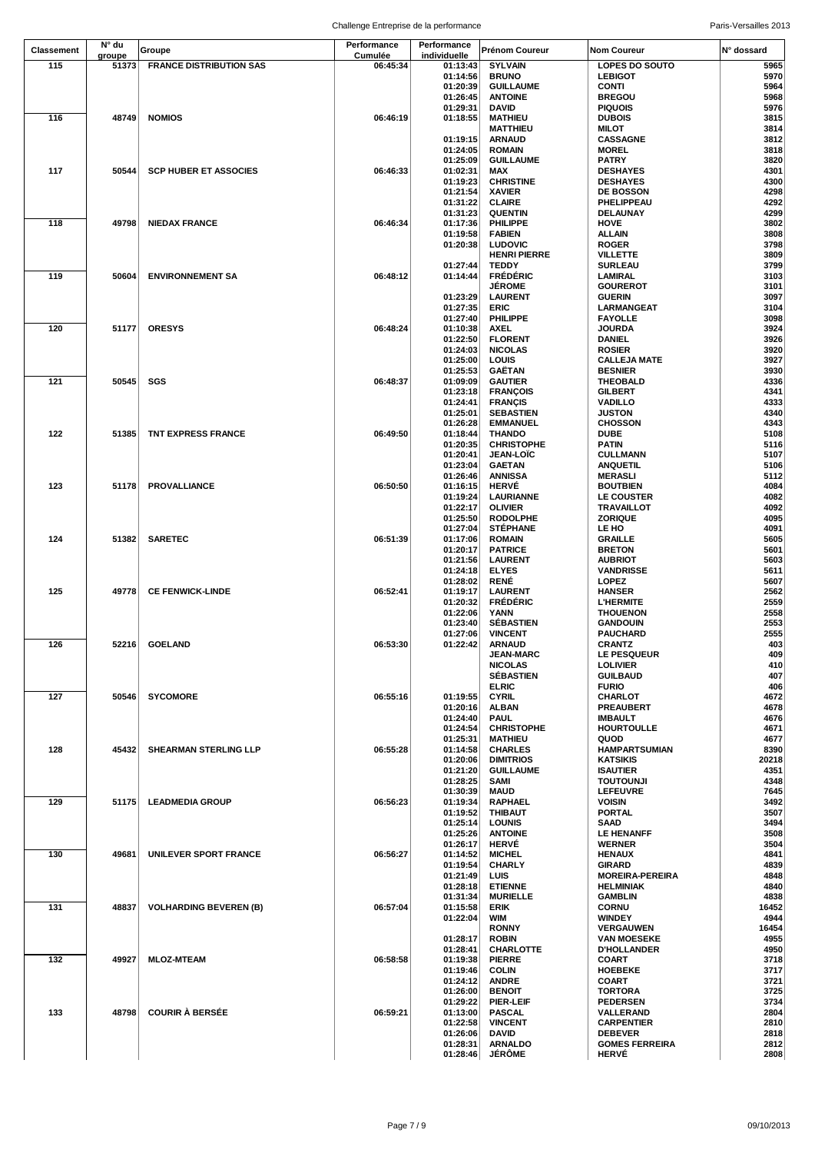Challenge Entreprise de la performance entre a result de la paris-Versailles 2013

|                   | N° du  |                                | Performance | Performance          |                                       |                                            |              |
|-------------------|--------|--------------------------------|-------------|----------------------|---------------------------------------|--------------------------------------------|--------------|
| <b>Classement</b> | groupe | Groupe                         | Cumulée     | individuelle         | <b>Prénom Coureur</b>                 | Nom Coureur                                | N° dossard   |
| 115               | 51373  | <b>FRANCE DISTRIBUTION SAS</b> | 06:45:34    | 01:13:43             | <b>SYLVAIN</b>                        | <b>LOPES DO SOUTO</b>                      | 5965         |
|                   |        |                                |             | 01:14:56             | <b>BRUNO</b>                          | <b>LEBIGOT</b>                             | 5970         |
|                   |        |                                |             | 01:20:39<br>01:26:45 | <b>GUILLAUME</b><br><b>ANTOINE</b>    | <b>CONTI</b><br><b>BREGOU</b>              | 5964<br>5968 |
|                   |        |                                |             | 01:29:31             | DAVID                                 | <b>PIQUOIS</b>                             | 5976         |
| 116               | 48749  | <b>NOMIOS</b>                  | 06:46:19    | 01:18:55             | <b>MATHIEU</b>                        | <b>DUBOIS</b>                              | 3815         |
|                   |        |                                |             |                      | <b>MATTHIEU</b>                       | <b>MILOT</b>                               | 3814         |
|                   |        |                                |             | 01:19:15             | <b>ARNAUD</b>                         | <b>CASSAGNE</b>                            | 3812         |
|                   |        |                                |             | 01:24:05             | <b>ROMAIN</b>                         | <b>MOREL</b>                               | 3818         |
| 117               | 50544  | <b>SCP HUBER ET ASSOCIES</b>   | 06:46:33    | 01:25:09<br>01:02:31 | <b>GUILLAUME</b><br>MAX               | <b>PATRY</b><br><b>DESHAYES</b>            | 3820<br>4301 |
|                   |        |                                |             | 01:19:23             | <b>CHRISTINE</b>                      | <b>DESHAYES</b>                            | 4300         |
|                   |        |                                |             | 01:21:54             | <b>XAVIER</b>                         | <b>DE BOSSON</b>                           | 4298         |
|                   |        |                                |             | 01:31:22             | <b>CLAIRE</b>                         | PHELIPPEAU                                 | 4292         |
|                   |        |                                |             | 01:31:23             | <b>QUENTIN</b>                        | DELAUNAY                                   | 4299         |
| 118               | 49798  | <b>NIEDAX FRANCE</b>           | 06:46:34    | 01:17:36             | PHILIPPE                              | <b>HOVE</b>                                | 3802         |
|                   |        |                                |             | 01:19:58             | <b>FABIEN</b>                         | <b>ALLAIN</b>                              | 3808         |
|                   |        |                                |             | 01:20:38             | <b>LUDOVIC</b><br><b>HENRI PIERRE</b> | <b>ROGER</b><br>VILLETTE                   | 3798<br>3809 |
|                   |        |                                |             | 01:27:44             | <b>TEDDY</b>                          | <b>SURLEAU</b>                             | 3799         |
| 119               | 50604  | <b>ENVIRONNEMENT SA</b>        | 06:48:12    | 01:14:44             | <b>FRÉDÉRIC</b>                       | LAMIRAL                                    | 3103         |
|                   |        |                                |             |                      | <b>JEROME</b>                         | <b>GOUREROT</b>                            | 3101         |
|                   |        |                                |             | 01:23:29             | <b>LAURENT</b>                        | <b>GUERIN</b>                              | 3097         |
|                   |        |                                |             | 01:27:35             | <b>ERIC</b>                           | LARMANGEAT                                 | 3104         |
| 120               | 51177  | <b>ORESYS</b>                  | 06:48:24    | 01:27:40<br>01:10:38 | <b>PHILIPPE</b><br><b>AXEL</b>        | <b>FAYOLLE</b><br><b>JOURDA</b>            | 3098<br>3924 |
|                   |        |                                |             | 01:22:50             | <b>FLORENT</b>                        | DANIEL                                     | 3926         |
|                   |        |                                |             | 01:24:03             | <b>NICOLAS</b>                        | <b>ROSIER</b>                              | 3920         |
|                   |        |                                |             | 01:25:00             | LOUIS                                 | <b>CALLEJA MATE</b>                        | 3927         |
|                   |        |                                |             | 01:25:53             | GAËTAN                                | <b>BESNIER</b>                             | 3930         |
| 121               | 50545  | SGS                            | 06:48:37    | 01:09:09             | <b>GAUTIER</b>                        | <b>THEOBALD</b>                            | 4336         |
|                   |        |                                |             | 01:23:18             | <b>FRANÇOIS</b>                       | <b>GILBERT</b>                             | 4341         |
|                   |        |                                |             | 01:24:41<br>01:25:01 | <b>FRANÇIS</b><br><b>SEBASTIEN</b>    | <b>VADILLO</b><br><b>JUSTON</b>            | 4333<br>4340 |
|                   |        |                                |             | 01:26:28             | <b>EMMANUEL</b>                       | <b>CHOSSON</b>                             | 4343         |
| 122               | 51385  | TNT EXPRESS FRANCE             | 06:49:50    | 01:18:44             | <b>THANDO</b>                         | DUBE                                       | 5108         |
|                   |        |                                |             | 01:20:35             | <b>CHRISTOPHE</b>                     | <b>PATIN</b>                               | 5116         |
|                   |        |                                |             | 01:20:41             | <b>JEAN-LOIC</b>                      | <b>CULLMANN</b>                            | 5107         |
|                   |        |                                |             | 01:23:04             | <b>GAETAN</b>                         | <b>ANQUETIL</b>                            | 5106         |
| 123               | 51178  | <b>PROVALLIANCE</b>            | 06:50:50    | 01:26:46<br>01:16:15 | <b>ANNISSA</b><br><b>HERVÉ</b>        | <b>MERASLI</b><br><b>BOUTBIEN</b>          | 5112<br>4084 |
|                   |        |                                |             | 01:19:24             | <b>LAURIANNE</b>                      | <b>LE COUSTER</b>                          | 4082         |
|                   |        |                                |             | 01:22:17             | <b>OLIVIER</b>                        | <b>TRAVAILLOT</b>                          | 4092         |
|                   |        |                                |             | 01:25:50             | <b>RODOLPHE</b>                       | <b>ZORIQUE</b>                             | 4095         |
|                   |        |                                |             | 01:27:04             | <b>STÉPHANE</b>                       | LE HO                                      | 4091         |
| 124               | 51382  | <b>SARETEC</b>                 | 06:51:39    | 01:17:06             | <b>ROMAIN</b>                         | <b>GRAILLE</b>                             | 5605         |
|                   |        |                                |             | 01:20:17             | <b>PATRICE</b>                        | <b>BRETON</b>                              | 5601         |
|                   |        |                                |             | 01:21:56<br>01:24:18 | <b>LAURENT</b><br><b>ELYES</b>        | <b>AUBRIOT</b><br><b>VANDRISSE</b>         | 5603<br>5611 |
|                   |        |                                |             | 01:28:02             | <b>RENÉ</b>                           | <b>LOPEZ</b>                               | 5607         |
| 125               | 49778  | <b>CE FENWICK-LINDE</b>        | 06:52:41    | 01:19:17             | <b>LAURENT</b>                        | <b>HANSER</b>                              | 2562         |
|                   |        |                                |             | 01:20:32             | <b>FRÉDÉRIC</b>                       | <b>L'HERMITE</b>                           | 2559         |
|                   |        |                                |             | 01:22:06             | YANN                                  | <b>THOUENON</b>                            | 2558         |
|                   |        |                                |             | 01:23:40             | <b>SEBASTIEN</b>                      | <b>GANDOUIN</b>                            | 2553         |
| 126               |        | 52216 GOELAND                  | 06:53:30    | 01:27:06<br>01:22:42 | <b>VINCENT</b><br><b>ARNAUD</b>       | <b>PAUCHARD</b><br><b>CRANTZ</b>           | 2555<br>403  |
|                   |        |                                |             |                      | <b>JEAN-MARC</b>                      | <b>LE PESQUEUR</b>                         | 409          |
|                   |        |                                |             |                      | <b>NICOLAS</b>                        | <b>LOLIVIER</b>                            | 410          |
|                   |        |                                |             |                      | <b>SÉBASTIEN</b>                      | <b>GUILBAUD</b>                            | 407          |
|                   |        |                                |             |                      | <b>ELRIC</b>                          | <b>FURIO</b>                               | 406          |
| 127               | 50546  | <b>SYCOMORE</b>                | 06:55:16    | 01:19:55             | <b>CYRIL</b>                          | CHARLOT                                    | 4672         |
|                   |        |                                |             | 01:20:16<br>01:24:40 | <b>ALBAN</b><br><b>PAUL</b>           | PREAUBERT<br><b>IMBAULT</b>                | 4678<br>4676 |
|                   |        |                                |             | 01:24:54             | <b>CHRISTOPHE</b>                     | <b>HOURTOULLE</b>                          | 4671         |
|                   |        |                                |             | 01:25:31             | <b>MATHIEU</b>                        | QUOD                                       | 4677         |
| 128               | 45432  | SHEARMAN STERLING LLP          | 06:55:28    | 01:14:58             | <b>CHARLES</b>                        | <b>HAMPARTSUMIAN</b>                       | 8390         |
|                   |        |                                |             | 01:20:06             | <b>DIMITRIOS</b>                      | <b>KATSIKIS</b>                            | 20218        |
|                   |        |                                |             | 01:21:20             | <b>GUILLAUME</b>                      | <b>ISAUTIER</b>                            | 4351         |
|                   |        |                                |             | 01:28:25             | SAMI                                  | <b>TOUTOUNJI</b>                           | 4348         |
| 129               | 51175  | <b>LEADMEDIA GROUP</b>         | 06:56:23    | 01:30:39<br>01:19:34 | <b>MAUD</b><br>RAPHAEL                | <b>LEFEUVRE</b><br><b>VOISIN</b>           | 7645<br>3492 |
|                   |        |                                |             | 01:19:52             | <b>THIBAUT</b>                        | <b>PORTAL</b>                              | 3507         |
|                   |        |                                |             | 01:25:14             | <b>LOUNIS</b>                         | SAAD                                       | 3494         |
|                   |        |                                |             | 01:25:26             | <b>ANTOINE</b>                        | <b>LE HENANFF</b>                          | 3508         |
|                   |        |                                |             | 01:26:17             | <b>HERVÉ</b>                          | <b>WERNER</b>                              | 3504         |
| 130               | 49681  | UNILEVER SPORT FRANCE          | 06:56:27    | 01:14:52             | <b>MICHEL</b>                         | <b>HENAUX</b>                              | 4841         |
|                   |        |                                |             | 01:19:54             | <b>CHARLY</b>                         | <b>GIRARD</b>                              | 4839<br>4848 |
|                   |        |                                |             | 01:21:49<br>01:28:18 | LUIS<br><b>ETIENNE</b>                | <b>MOREIRA-PEREIRA</b><br><b>HELMINIAK</b> | 4840         |
|                   |        |                                |             | 01:31:34             | <b>MURIELLE</b>                       | <b>GAMBLIN</b>                             | 4838         |
| 131               | 48837  | <b>VOLHARDING BEVEREN (B)</b>  | 06:57:04    | 01:15:58             | <b>ERIK</b>                           | <b>CORNU</b>                               | 16452        |
|                   |        |                                |             | 01:22:04             | WIM                                   | <b>WINDEY</b>                              | 4944         |
|                   |        |                                |             |                      | <b>RONNY</b>                          | VERGAUWEN                                  | 16454        |
|                   |        |                                |             | 01:28:17             | <b>ROBIN</b>                          | <b>VAN MOESEKE</b>                         | 4955         |
| 132               | 49927  | <b>MLOZ-MTEAM</b>              | 06:58:58    | 01:28:41<br>01:19:38 | CHARLOTTE<br><b>PIERRE</b>            | <b>D'HOLLANDER</b><br>COART                | 4950<br>3718 |
|                   |        |                                |             | 01:19:46             | <b>COLIN</b>                          | <b>HOEBEKE</b>                             | 3717         |
|                   |        |                                |             | 01:24:12             | <b>ANDRE</b>                          | <b>COART</b>                               | 3721         |
|                   |        |                                |             | 01:26:00             | <b>BENOIT</b>                         | <b>TORTORA</b>                             | 3725         |
|                   |        |                                |             | 01:29:22             | PIER-LEIF                             | <b>PEDERSEN</b>                            | 3734         |
| 133               | 48798  | <b>COURIR À BERSÉE</b>         | 06:59:21    | 01:13:00             | <b>PASCAL</b>                         | VALLERAND                                  | 2804         |
|                   |        |                                |             | 01:22:58<br>01:26:06 | <b>VINCENT</b><br>DAVID               | <b>CARPENTIER</b><br><b>DEBEVER</b>        | 2810<br>2818 |
|                   |        |                                |             | 01:28:31             | <b>ARNALDO</b>                        | <b>GOMES FERREIRA</b>                      | 2812         |
|                   |        |                                |             | 01:28:46             | <b>JÉRÔME</b>                         | <b>HERVÉ</b>                               | 2808         |
|                   |        |                                |             |                      |                                       |                                            |              |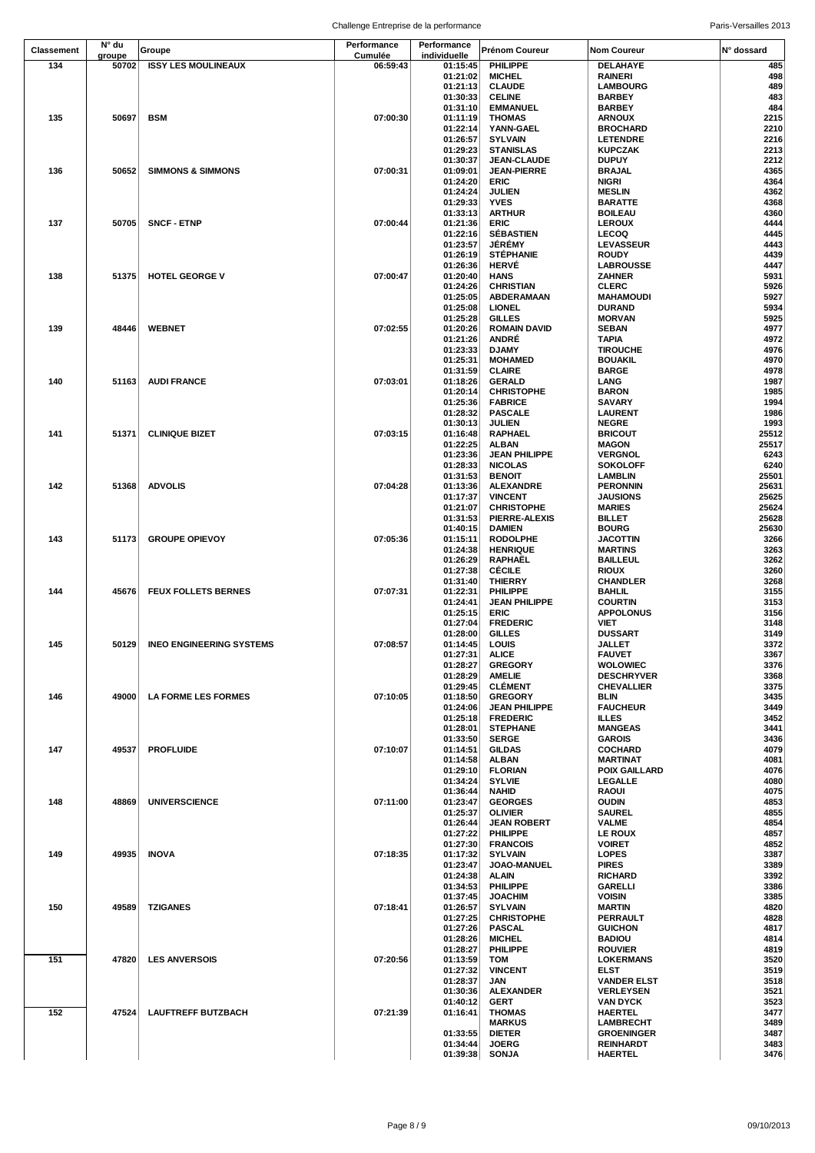Challenge Entreprise de la performance entre a result de la paris-Versailles 2013

| <b>Classement</b> | N° du           | Groupe                         | Performance<br>Cumulée | Performance<br>individuelle | <b>Prénom Coureur</b>                   | <b>Nom Coureur</b>                     | N° dossard     |
|-------------------|-----------------|--------------------------------|------------------------|-----------------------------|-----------------------------------------|----------------------------------------|----------------|
| 134               | groupe<br>50702 | <b>ISSY LES MOULINEAUX</b>     | 06:59:43               | 01:15:45                    | PHILIPPE                                | DELAHAYE                               | 485            |
|                   |                 |                                |                        | 01:21:02                    | <b>MICHEL</b>                           | <b>RAINERI</b>                         | 498            |
|                   |                 |                                |                        | 01:21:13                    | <b>CLAUDE</b>                           | <b>LAMBOURG</b>                        | 489            |
|                   |                 |                                |                        | 01:30:33                    | <b>CELINE</b>                           | <b>BARBEY</b><br><b>BARBEY</b>         | 483            |
| 135               | 50697           | <b>BSM</b>                     | 07:00:30               | 01:31:10<br>01:11:19        | <b>EMMANUEL</b><br><b>THOMAS</b>        | <b>ARNOUX</b>                          | 484<br>2215    |
|                   |                 |                                |                        | 01:22:14                    | YANN-GAEL                               | <b>BROCHARD</b>                        | 2210           |
|                   |                 |                                |                        | 01:26:57                    | <b>SYLVAIN</b>                          | <b>LETENDRE</b>                        | 2216           |
|                   |                 |                                |                        | 01:29:23                    | <b>STANISLAS</b>                        | <b>KUPCZAK</b>                         | 2213           |
|                   |                 |                                |                        | 01:30:37                    | <b>JEAN-CLAUDE</b>                      | <b>DUPUY</b>                           | 2212           |
| 136               | 50652           | <b>SIMMONS &amp; SIMMONS</b>   | 07:00:31               | 01:09:01                    | <b>JEAN-PIERRE</b>                      | <b>BRAJAL</b>                          | 4365           |
|                   |                 |                                |                        | 01:24:20<br>01:24:24        | ERIC<br><b>JULIEN</b>                   | NIGRI<br><b>MESLIN</b>                 | 4364<br>4362   |
|                   |                 |                                |                        | 01:29:33                    | <b>YVES</b>                             | <b>BARATTE</b>                         | 4368           |
|                   |                 |                                |                        | 01:33:13                    | <b>ARTHUR</b>                           | <b>BOILEAU</b>                         | 4360           |
| 137               | 50705           | <b>SNCF - ETNP</b>             | 07:00:44               | 01:21:36                    | <b>ERIC</b>                             | <b>LEROUX</b>                          | 4444           |
|                   |                 |                                |                        | 01:22:16                    | <b>SÉBASTIEN</b>                        | <b>LECOQ</b>                           | 4445           |
|                   |                 |                                |                        | 01:23:57                    | <b>JÉRÉMY</b><br><b>STÉPHANIE</b>       | LEVASSEUR<br><b>ROUDY</b>              | 4443<br>4439   |
|                   |                 |                                |                        | 01:26:19<br>01:26:36        | <b>HERVÉ</b>                            | <b>LABROUSSE</b>                       | 4447           |
| 138               | 51375           | <b>HOTEL GEORGE V</b>          | 07:00:47               | 01:20:40                    | <b>HANS</b>                             | <b>ZAHNER</b>                          | 5931           |
|                   |                 |                                |                        | 01:24:26                    | <b>CHRISTIAN</b>                        | <b>CLERC</b>                           | 5926           |
|                   |                 |                                |                        | 01:25:05                    | ABDERAMAAN                              | <b>MAHAMOUDI</b>                       | 5927           |
|                   |                 |                                |                        | 01:25:08                    | <b>LIONEL</b>                           | <b>DURAND</b>                          | 5934           |
| 139               | 48446           | <b>WEBNET</b>                  | 07:02:55               | 01:25:28<br>01:20:26        | <b>GILLES</b><br><b>ROMAIN DAVID</b>    | <b>MORVAN</b><br><b>SEBAN</b>          | 5925<br>4977   |
|                   |                 |                                |                        | 01:21:26                    | ANDRÉ                                   | <b>TAPIA</b>                           | 4972           |
|                   |                 |                                |                        | 01:23:33                    | <b>DJAMY</b>                            | <b>TIROUCHE</b>                        | 4976           |
|                   |                 |                                |                        | 01:25:31                    | <b>MOHAMED</b>                          | <b>BOUAKIL</b>                         | 4970           |
|                   |                 |                                |                        | 01:31:59                    | <b>CLAIRE</b>                           | <b>BARGE</b>                           | 4978           |
| 140               | 51163           | <b>AUDI FRANCE</b>             | 07:03:01               | 01:18:26                    | <b>GERALD</b>                           | LANG                                   | 1987           |
|                   |                 |                                |                        | 01:20:14                    | <b>CHRISTOPHE</b>                       | <b>BARON</b>                           | 1985           |
|                   |                 |                                |                        | 01:25:36<br>01:28:32        | <b>FABRICE</b><br><b>PASCALE</b>        | <b>SAVARY</b><br><b>LAURENT</b>        | 1994<br>1986   |
|                   |                 |                                |                        | 01:30:13                    | <b>JULIEN</b>                           | <b>NEGRE</b>                           | 1993           |
| 141               | 51371           | <b>CLINIQUE BIZET</b>          | 07:03:15               | 01:16:48                    | RAPHAEL                                 | <b>BRICOUT</b>                         | 25512          |
|                   |                 |                                |                        | 01:22:25                    | <b>ALBAN</b>                            | <b>MAGON</b>                           | 25517          |
|                   |                 |                                |                        | 01:23:36                    | <b>JEAN PHILIPPE</b>                    | <b>VERGNOL</b>                         | 6243           |
|                   |                 |                                |                        | 01:28:33                    | <b>NICOLAS</b>                          | <b>SOKOLOFF</b>                        | 6240           |
| 142               | 51368           | <b>ADVOLIS</b>                 | 07:04:28               | 01:31:53<br>01:13:36        | <b>BENOIT</b><br><b>ALEXANDRE</b>       | LAMBLIN<br><b>PERONNIN</b>             | 25501<br>25631 |
|                   |                 |                                |                        | 01:17:37                    | <b>VINCENT</b>                          | <b>JAUSIONS</b>                        | 25625          |
|                   |                 |                                |                        | 01:21:07                    | <b>CHRISTOPHE</b>                       | <b>MARIES</b>                          | 25624          |
|                   |                 |                                |                        | 01:31:53                    | PIERRE-ALEXIS                           | <b>BILLET</b>                          | 25628          |
|                   |                 |                                |                        | 01:40:15                    | <b>DAMIEN</b>                           | <b>BOURG</b>                           | 25630          |
| 143               | 51173           | <b>GROUPE OPIEVOY</b>          | 07:05:36               | 01:15:11                    | <b>RODOLPHE</b>                         | <b>JACOTTIN</b>                        | 3266           |
|                   |                 |                                |                        | 01:24:38                    | <b>HENRIQUE</b>                         | <b>MARTINS</b>                         | 3263           |
|                   |                 |                                |                        | 01:26:29<br>01:27:38        | RAPHAËL<br><b>CÉCILE</b>                | <b>BAILLEUL</b><br><b>RIOUX</b>        | 3262<br>3260   |
|                   |                 |                                |                        | 01:31:40                    | <b>THIERRY</b>                          | <b>CHANDLER</b>                        | 3268           |
| 144               | 45676           | <b>FEUX FOLLETS BERNES</b>     | 07:07:31               | 01:22:31                    | PHILIPPE                                | <b>BAHLIL</b>                          | 3155           |
|                   |                 |                                |                        | 01:24:41                    | <b>JEAN PHILIPPE</b>                    | <b>COURTIN</b>                         | 3153           |
|                   |                 |                                |                        | 01:25:15                    | ERIC                                    | <b>APPOLONUS</b>                       | 3156           |
|                   |                 |                                |                        | 01:27:04                    | <b>FREDERIC</b>                         | <b>VIET</b>                            | 3148           |
| 145               |                 | 50129 INEO ENGINEERING SYSTEMS | 07:08:57               | 01:28:00<br>01:14:45        | <b>GILLES</b><br>LOUIS                  | <b>DUSSART</b><br><b>JALLET</b>        | 3149<br>3372   |
|                   |                 |                                |                        | 01:27:31                    | <b>ALICE</b>                            | <b>FAUVET</b>                          | 3367           |
|                   |                 |                                |                        | 01:28:27                    | <b>GREGORY</b>                          | <b>WOLOWIEC</b>                        | 3376           |
|                   |                 |                                |                        | 01:28:29                    | <b>AMELIE</b>                           | <b>DESCHRYVER</b>                      | 3368           |
|                   |                 |                                |                        | 01:29:45                    | <b>CLÉMENT</b>                          | <b>CHEVALLIER</b>                      | 3375           |
| 146               | 49000           | <b>LA FORME LES FORMES</b>     | 07:10:05               | 01:18:50                    | <b>GREGORY</b>                          | BLIN<br><b>FAUCHEUR</b>                | 3435<br>3449   |
|                   |                 |                                |                        | 01:24:06<br>01:25:18        | <b>JEAN PHILIPPE</b><br><b>FREDERIC</b> | <b>ILLES</b>                           | 3452           |
|                   |                 |                                |                        | 01:28:01                    | <b>STEPHANE</b>                         | <b>MANGEAS</b>                         | 3441           |
|                   |                 |                                |                        | 01:33:50                    | <b>SERGE</b>                            | <b>GAROIS</b>                          | 3436           |
| 147               | 49537           | <b>PROFLUIDE</b>               | 07:10:07               | 01:14:51                    | <b>GILDAS</b>                           | <b>COCHARD</b>                         | 4079           |
|                   |                 |                                |                        | 01:14:58                    | <b>ALBAN</b>                            | <b>MARTINAT</b>                        | 4081           |
|                   |                 |                                |                        | 01:29:10<br>01:34:24        | <b>FLORIAN</b><br><b>SYLVIE</b>         | <b>POIX GAILLARD</b><br><b>LEGALLE</b> | 4076<br>4080   |
|                   |                 |                                |                        | 01:36:44                    | NAHID                                   | <b>RAOUI</b>                           | 4075           |
| 148               | 48869           | <b>UNIVERSCIENCE</b>           | 07:11:00               | 01:23:47                    | <b>GEORGES</b>                          | <b>OUDIN</b>                           | 4853           |
|                   |                 |                                |                        | 01:25:37                    | <b>OLIVIER</b>                          | <b>SAUREL</b>                          | 4855           |
|                   |                 |                                |                        | 01:26:44                    | <b>JEAN ROBERT</b>                      | <b>VALME</b>                           | 4854           |
|                   |                 |                                |                        | 01:27:22                    | PHILIPPE                                | LE ROUX                                | 4857           |
| 149               | 49935           | <b>INOVA</b>                   | 07:18:35               | 01:27:30<br>01:17:32        | <b>FRANCOIS</b><br><b>SYLVAIN</b>       | <b>VOIRET</b><br><b>LOPES</b>          | 4852<br>3387   |
|                   |                 |                                |                        | 01:23:47                    | JOAO-MANUEL                             | <b>PIRES</b>                           | 3389           |
|                   |                 |                                |                        | 01:24:38                    | ALAIN                                   | <b>RICHARD</b>                         | 3392           |
|                   |                 |                                |                        | 01:34:53                    | PHILIPPE                                | <b>GARELLI</b>                         | 3386           |
|                   |                 |                                |                        | 01:37:45                    | <b>JOACHIM</b>                          | <b>VOISIN</b>                          | 3385           |
| 150               | 49589           | TZIGANES                       | 07:18:41               | 01:26:57<br>01:27:25        | <b>SYLVAIN</b><br><b>CHRISTOPHE</b>     | <b>MARTIN</b><br>PERRAULT              | 4820<br>4828   |
|                   |                 |                                |                        | 01:27:26                    | <b>PASCAL</b>                           | <b>GUICHON</b>                         | 4817           |
|                   |                 |                                |                        | 01:28:26                    | <b>MICHEL</b>                           | <b>BADIOU</b>                          | 4814           |
|                   |                 |                                |                        | 01:28:27                    | PHILIPPE                                | <b>ROUVIER</b>                         | 4819           |
| 151               | 47820           | <b>LES ANVERSOIS</b>           | 07:20:56               | 01:13:59                    | TOM                                     | <b>LOKERMANS</b>                       | 3520           |
|                   |                 |                                |                        | 01:27:32                    | <b>VINCENT</b>                          | ELST                                   | 3519           |
|                   |                 |                                |                        | 01:28:37                    | JAN                                     | <b>VANDER ELST</b>                     | 3518<br>3521   |
|                   |                 |                                |                        | 01:30:36<br>01:40:12        | <b>ALEXANDER</b><br><b>GERT</b>         | <b>VERLEYSEN</b><br><b>VAN DYCK</b>    | 3523           |
| 152               | 47524           | <b>LAUFTREFF BUTZBACH</b>      | 07:21:39               | 01:16:41                    | THOMAS                                  | <b>HAERTEL</b>                         | 3477           |
|                   |                 |                                |                        |                             | <b>MARKUS</b>                           | <b>LAMBRECHT</b>                       | 3489           |
|                   |                 |                                |                        | 01:33:55                    | <b>DIETER</b>                           | <b>GROENINGER</b>                      | 3487           |
|                   |                 |                                |                        | 01:34:44                    | <b>JOERG</b>                            | <b>REINHARDT</b>                       | 3483           |
|                   |                 |                                |                        | 01:39:38                    | <b>SONJA</b>                            | <b>HAERTEL</b>                         | 3476           |